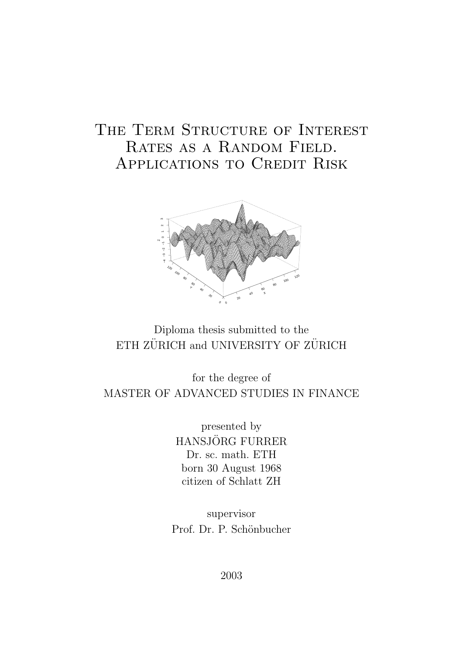# THE TERM STRUCTURE OF INTEREST RATES AS A RANDOM FIELD. Applications to Credit Risk



## Diploma thesis submitted to the ETH ZÜRICH and UNIVERSITY OF ZÜRICH

## for the degree of MASTER OF ADVANCED STUDIES IN FINANCE

presented by HANSJÖRG FURRER Dr. sc. math. ETH born 30 August 1968 citizen of Schlatt ZH

supervisor Prof. Dr. P. Schönbucher

2003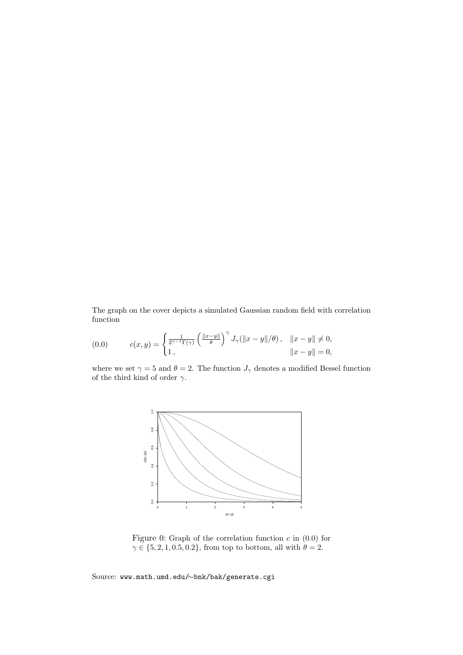The graph on the cover depicts a simulated Gaussian random field with correlation function

(0.0) 
$$
c(x,y) = \begin{cases} \frac{1}{2^{\gamma-1}\Gamma(\gamma)} \left( \frac{\|x-y\|}{\theta} \right)^{\gamma} J_{\gamma}(\|x-y\|/\theta), & \|x-y\| \neq 0, \\ 1, & \|x-y\| = 0, \end{cases}
$$

where we set  $\gamma = 5$  and  $\theta = 2$ . The function  $J_{\gamma}$  denotes a modified Bessel function of the third kind of order  $\gamma.$ 



Figure 0: Graph of the correlation function  $c$  in  $(0.0)$  for  $\gamma \in \{5, 2, 1, 0.5, 0.2\}$ , from top to bottom, all with  $\theta = 2$ .

Source: www.math.umd.edu/∼bnk/bak/generate.cgi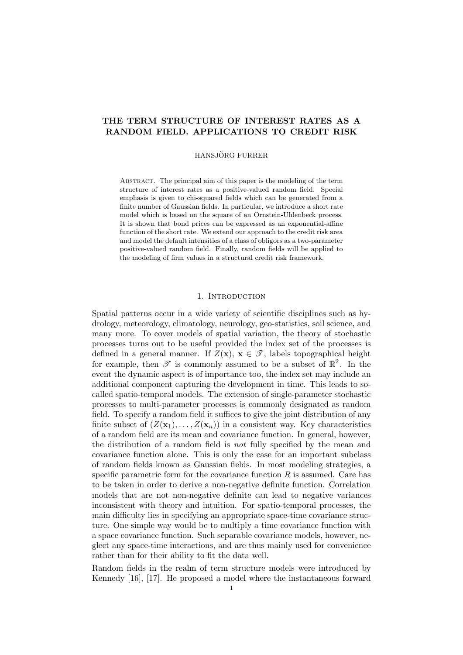## THE TERM STRUCTURE OF INTEREST RATES AS A RANDOM FIELD. APPLICATIONS TO CREDIT RISK

#### HANSJÖRG FURRER

Abstract. The principal aim of this paper is the modeling of the term structure of interest rates as a positive-valued random field. Special emphasis is given to chi-squared fields which can be generated from a finite number of Gaussian fields. In particular, we introduce a short rate model which is based on the square of an Ornstein-Uhlenbeck process. It is shown that bond prices can be expressed as an exponential-affine function of the short rate. We extend our approach to the credit risk area and model the default intensities of a class of obligors as a two-parameter positive-valued random field. Finally, random fields will be applied to the modeling of firm values in a structural credit risk framework.

#### 1. INTRODUCTION

Spatial patterns occur in a wide variety of scientific disciplines such as hydrology, meteorology, climatology, neurology, geo-statistics, soil science, and many more. To cover models of spatial variation, the theory of stochastic processes turns out to be useful provided the index set of the processes is defined in a general manner. If  $Z(\mathbf{x}), \mathbf{x} \in \mathcal{T}$ , labels topographical height for example, then  $\mathscr T$  is commonly assumed to be a subset of  $\mathbb R^2$ . In the event the dynamic aspect is of importance too, the index set may include an additional component capturing the development in time. This leads to socalled spatio-temporal models. The extension of single-parameter stochastic processes to multi-parameter processes is commonly designated as random field. To specify a random field it suffices to give the joint distribution of any finite subset of  $(Z(\mathbf{x}_1), \ldots, Z(\mathbf{x}_n))$  in a consistent way. Key characteristics of a random field are its mean and covariance function. In general, however, the distribution of a random field is not fully specified by the mean and covariance function alone. This is only the case for an important subclass of random fields known as Gaussian fields. In most modeling strategies, a specific parametric form for the covariance function  $R$  is assumed. Care has to be taken in order to derive a non-negative definite function. Correlation models that are not non-negative definite can lead to negative variances inconsistent with theory and intuition. For spatio-temporal processes, the main difficulty lies in specifying an appropriate space-time covariance structure. One simple way would be to multiply a time covariance function with a space covariance function. Such separable covariance models, however, neglect any space-time interactions, and are thus mainly used for convenience rather than for their ability to fit the data well.

Random fields in the realm of term structure models were introduced by Kennedy [16], [17]. He proposed a model where the instantaneous forward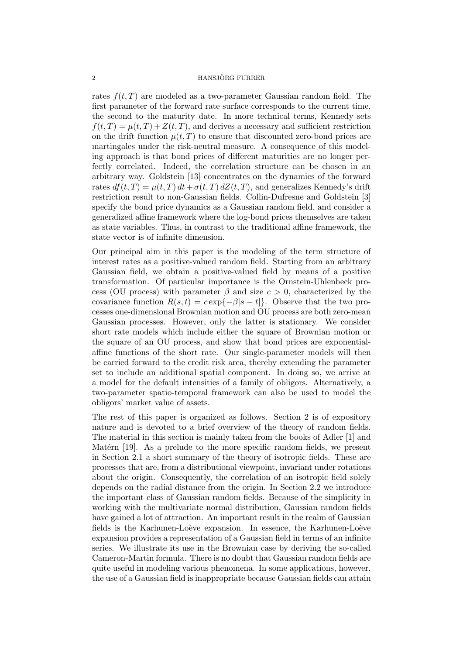rates  $f(t, T)$  are modeled as a two-parameter Gaussian random field. The first parameter of the forward rate surface corresponds to the current time, the second to the maturity date. In more technical terms, Kennedy sets  $f(t,T) = \mu(t,T) + Z(t,T)$ , and derives a necessary and sufficient restriction on the drift function  $\mu(t, T)$  to ensure that discounted zero-bond prices are martingales under the risk-neutral measure. A consequence of this modeling approach is that bond prices of different maturities are no longer perfectly correlated. Indeed, the correlation structure can be chosen in an arbitrary way. Goldstein [13] concentrates on the dynamics of the forward rates  $df(t, T) = \mu(t, T) dt + \sigma(t, T) dZ(t, T)$ , and generalizes Kennedy's drift restriction result to non-Gaussian fields. Collin-Dufresne and Goldstein [3] specify the bond price dynamics as a Gaussian random field, and consider a generalized affine framework where the log-bond prices themselves are taken as state variables. Thus, in contrast to the traditional affine framework, the state vector is of infinite dimension.

Our principal aim in this paper is the modeling of the term structure of interest rates as a positive-valued random field. Starting from an arbitrary Gaussian field, we obtain a positive-valued field by means of a positive transformation. Of particular importance is the Ornstein-Uhlenbeck process (OU process) with parameter  $\beta$  and size  $c > 0$ , characterized by the covariance function  $R(s,t) = c \exp\{-\beta |s-t|\}$ . Observe that the two processes one-dimensional Brownian motion and OU process are both zero-mean Gaussian processes. However, only the latter is stationary. We consider short rate models which include either the square of Brownian motion or the square of an OU process, and show that bond prices are exponentialaffine functions of the short rate. Our single-parameter models will then be carried forward to the credit risk area, thereby extending the parameter set to include an additional spatial component. In doing so, we arrive at a model for the default intensities of a family of obligors. Alternatively, a two-parameter spatio-temporal framework can also be used to model the obligors' market value of assets.

The rest of this paper is organized as follows. Section 2 is of expository nature and is devoted to a brief overview of the theory of random fields. The material in this section is mainly taken from the books of Adler [1] and Matérn [19]. As a prelude to the more specific random fields, we present in Section 2.1 a short summary of the theory of isotropic fields. These are processes that are, from a distributional viewpoint, invariant under rotations about the origin. Consequently, the correlation of an isotropic field solely depends on the radial distance from the origin. In Section 2.2 we introduce the important class of Gaussian random fields. Because of the simplicity in working with the multivariate normal distribution, Gaussian random fields have gained a lot of attraction. An important result in the realm of Gaussian fields is the Karhunen-Loève expansion. In essence, the Karhunen-Loève expansion provides a representation of a Gaussian field in terms of an infinite series. We illustrate its use in the Brownian case by deriving the so-called Cameron-Martin formula. There is no doubt that Gaussian random fields are quite useful in modeling various phenomena. In some applications, however, the use of a Gaussian field is inappropriate because Gaussian fields can attain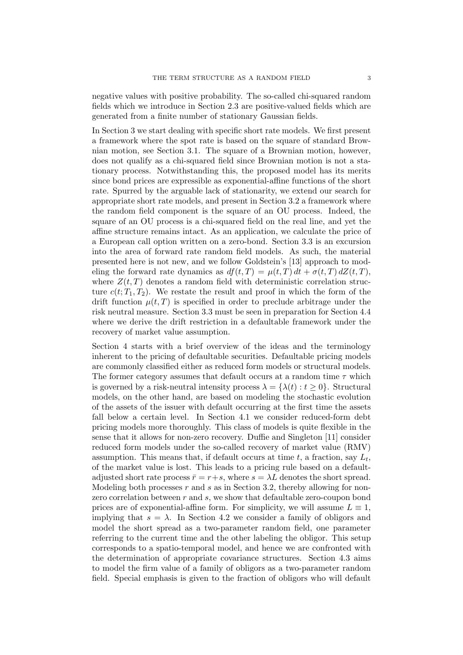negative values with positive probability. The so-called chi-squared random fields which we introduce in Section 2.3 are positive-valued fields which are generated from a finite number of stationary Gaussian fields.

In Section 3 we start dealing with specific short rate models. We first present a framework where the spot rate is based on the square of standard Brownian motion, see Section 3.1. The square of a Brownian motion, however, does not qualify as a chi-squared field since Brownian motion is not a stationary process. Notwithstanding this, the proposed model has its merits since bond prices are expressible as exponential-affine functions of the short rate. Spurred by the arguable lack of stationarity, we extend our search for appropriate short rate models, and present in Section 3.2 a framework where the random field component is the square of an OU process. Indeed, the square of an OU process is a chi-squared field on the real line, and yet the affine structure remains intact. As an application, we calculate the price of a European call option written on a zero-bond. Section 3.3 is an excursion into the area of forward rate random field models. As such, the material presented here is not new, and we follow Goldstein's [13] approach to modeling the forward rate dynamics as  $df(t,T) = \mu(t,T) dt + \sigma(t,T) dZ(t,T)$ , where  $Z(t,T)$  denotes a random field with deterministic correlation structure  $c(t; T_1, T_2)$ . We restate the result and proof in which the form of the drift function  $\mu(t, T)$  is specified in order to preclude arbitrage under the risk neutral measure. Section 3.3 must be seen in preparation for Section 4.4 where we derive the drift restriction in a defaultable framework under the recovery of market value assumption.

Section 4 starts with a brief overview of the ideas and the terminology inherent to the pricing of defaultable securities. Defaultable pricing models are commonly classified either as reduced form models or structural models. The former category assumes that default occurs at a random time  $\tau$  which is governed by a risk-neutral intensity process  $\lambda = {\lambda(t) : t \geq 0}$ . Structural models, on the other hand, are based on modeling the stochastic evolution of the assets of the issuer with default occurring at the first time the assets fall below a certain level. In Section 4.1 we consider reduced-form debt pricing models more thoroughly. This class of models is quite flexible in the sense that it allows for non-zero recovery. Duffie and Singleton [11] consider reduced form models under the so-called recovery of market value (RMV) assumption. This means that, if default occurs at time  $t$ , a fraction, say  $L_t$ , of the market value is lost. This leads to a pricing rule based on a defaultadjusted short rate process  $\bar{r} = r+s$ , where  $s = \lambda L$  denotes the short spread. Modeling both processes  $r$  and  $s$  as in Section 3.2, thereby allowing for nonzero correlation between  $r$  and  $s$ , we show that defaultable zero-coupon bond prices are of exponential-affine form. For simplicity, we will assume  $L \equiv 1$ . implying that  $s = \lambda$ . In Section 4.2 we consider a family of obligors and model the short spread as a two-parameter random field, one parameter referring to the current time and the other labeling the obligor. This setup corresponds to a spatio-temporal model, and hence we are confronted with the determination of appropriate covariance structures. Section 4.3 aims to model the firm value of a family of obligors as a two-parameter random field. Special emphasis is given to the fraction of obligors who will default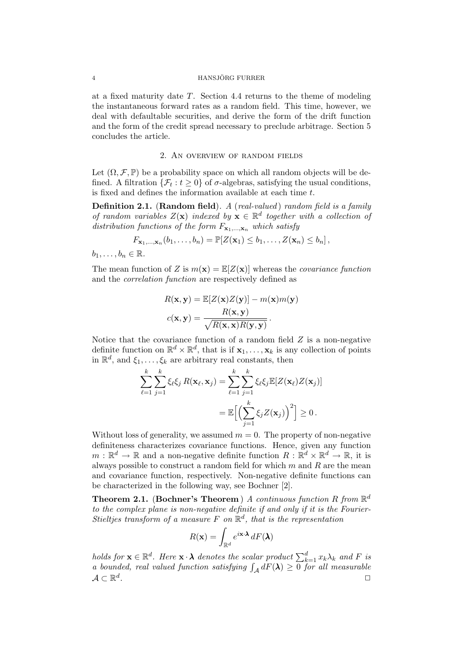#### 4 HANSJÖRG FURRER

at a fixed maturity date T. Section 4.4 returns to the theme of modeling the instantaneous forward rates as a random field. This time, however, we deal with defaultable securities, and derive the form of the drift function and the form of the credit spread necessary to preclude arbitrage. Section 5 concludes the article.

### 2. An overview of random fields

Let  $(\Omega, \mathcal{F}, \mathbb{P})$  be a probability space on which all random objects will be defined. A filtration  $\{\mathcal{F}_t : t \geq 0\}$  of  $\sigma$ -algebras, satisfying the usual conditions, is fixed and defines the information available at each time t.

Definition 2.1. (Random field). A (real-valued) random field is a family of random variables  $Z(\mathbf{x})$  indexed by  $\mathbf{x} \in \mathbb{R}^d$  together with a collection of distribution functions of the form  $F_{\mathbf{x}_1,\dots,\mathbf{x}_n}$  which satisfy

$$
F_{\mathbf{x}_1,\ldots,\mathbf{x}_n}(b_1,\ldots,b_n)=\mathbb{P}[Z(\mathbf{x}_1)\leq b_1,\ldots,Z(\mathbf{x}_n)\leq b_n],
$$

 $b_1, \ldots, b_n \in \mathbb{R}$ .

The mean function of Z is  $m(\mathbf{x}) = \mathbb{E}[Z(\mathbf{x})]$  whereas the *covariance function* and the correlation function are respectively defined as

$$
R(\mathbf{x}, \mathbf{y}) = \mathbb{E}[Z(\mathbf{x})Z(\mathbf{y})] - m(\mathbf{x})m(\mathbf{y})
$$

$$
c(\mathbf{x}, \mathbf{y}) = \frac{R(\mathbf{x}, \mathbf{y})}{\sqrt{R(\mathbf{x}, \mathbf{x})R(\mathbf{y}, \mathbf{y})}}.
$$

Notice that the covariance function of a random field  $Z$  is a non-negative definite function on  $\mathbb{R}^d \times \mathbb{R}^d$ , that is if  $\mathbf{x}_1, \ldots, \mathbf{x}_k$  is any collection of points in  $\mathbb{R}^d$ , and  $\xi_1, \ldots, \xi_k$  are arbitrary real constants, then

$$
\sum_{\ell=1}^k \sum_{j=1}^k \xi_\ell \xi_j R(\mathbf{x}_\ell, \mathbf{x}_j) = \sum_{\ell=1}^k \sum_{j=1}^k \xi_\ell \xi_j \mathbb{E}[Z(\mathbf{x}_\ell) Z(\mathbf{x}_j)]
$$
  
= 
$$
\mathbb{E}\Big[\Big(\sum_{j=1}^k \xi_j Z(\mathbf{x}_j)\Big)^2\Big] \geq 0.
$$

Without loss of generality, we assumed  $m = 0$ . The property of non-negative definiteness characterizes covariance functions. Hence, given any function  $m: \mathbb{R}^d \to \mathbb{R}$  and a non-negative definite function  $R: \mathbb{R}^d \times \mathbb{R}^d \to \mathbb{R}$ , it is always possible to construct a random field for which  $m$  and  $R$  are the mean and covariance function, respectively. Non-negative definite functions can be characterized in the following way, see Bochner [2].

**Theorem 2.1.** (Bochner's Theorem) A continuous function R from  $\mathbb{R}^d$ to the complex plane is non-negative definite if and only if it is the Fourier-Stieltjes transform of a measure F on  $\mathbb{R}^d$ , that is the representation

$$
R(\mathbf{x}) = \int_{\mathbb{R}^d} e^{i\mathbf{x} \cdot \mathbf{\lambda}} dF(\mathbf{\lambda})
$$

holds for  $\mathbf{x} \in \mathbb{R}^d$ . Here  $\mathbf{x} \cdot \boldsymbol{\lambda}$  denotes the scalar product  $\sum_{k=1}^d x_k \lambda_k$  and F is a bounded, real valued function satisfying  $\int_{\mathcal{A}} dF(\lambda) \geq 0$  for all measurable  $\mathcal{A} \subset \mathbb{R}^d$ . ✷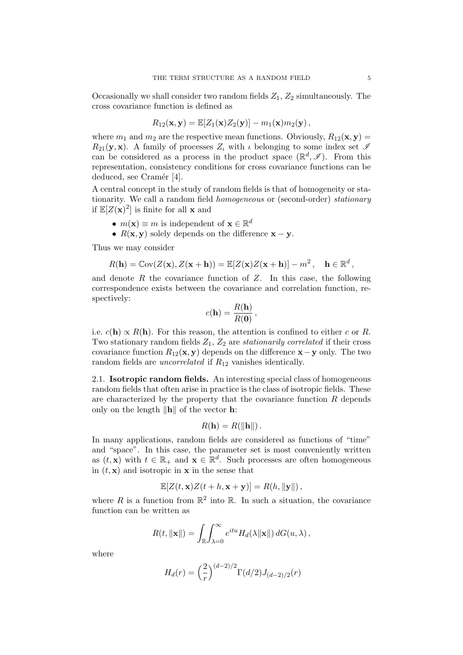Occasionally we shall consider two random fields  $Z_1$ ,  $Z_2$  simultaneously. The cross covariance function is defined as

$$
R_{12}(\mathbf{x}, \mathbf{y}) = \mathbb{E}[Z_1(\mathbf{x})Z_2(\mathbf{y})] - m_1(\mathbf{x})m_2(\mathbf{y}),
$$

where  $m_1$  and  $m_2$  are the respective mean functions. Obviously,  $R_{12}(\mathbf{x}, \mathbf{y}) =$  $R_{21}(\mathbf{y}, \mathbf{x})$ . A family of processes  $Z_{\iota}$  with  $\iota$  belonging to some index set  $\mathscr I$ can be considered as a process in the product space  $(\mathbb{R}^d, \mathscr{I})$ . From this representation, consistency conditions for cross covariance functions can be deduced, see Cramér [4].

A central concept in the study of random fields is that of homogeneity or stationarity. We call a random field homogeneous or (second-order) stationary if  $\mathbb{E}[Z(\mathbf{x})^2]$  is finite for all **x** and

- $m(\mathbf{x}) \equiv m$  is independent of  $\mathbf{x} \in \mathbb{R}^d$
- $R(x, y)$  solely depends on the difference  $x y$ .

Thus we may consider

$$
R(\mathbf{h}) = \mathbb{C}\mathrm{ov}(Z(\mathbf{x}), Z(\mathbf{x} + \mathbf{h})) = \mathbb{E}[Z(\mathbf{x})Z(\mathbf{x} + \mathbf{h})] - m^2, \quad \mathbf{h} \in \mathbb{R}^d,
$$

and denote  $R$  the covariance function of  $Z$ . In this case, the following correspondence exists between the covariance and correlation function, respectively:

$$
c(\mathbf{h}) = \frac{R(\mathbf{h})}{R(\mathbf{0})},
$$

i.e.  $c(\mathbf{h}) \propto R(\mathbf{h})$ . For this reason, the attention is confined to either c or R. Two stationary random fields  $Z_1$ ,  $Z_2$  are *stationarily correlated* if their cross covariance function  $R_{12}(\mathbf{x}, \mathbf{y})$  depends on the difference  $\mathbf{x}-\mathbf{y}$  only. The two random fields are *uncorrelated* if  $R_{12}$  vanishes identically.

2.1. Isotropic random fields. An interesting special class of homogeneous random fields that often arise in practice is the class of isotropic fields. These are characterized by the property that the covariance function  $R$  depends only on the length  $\|\mathbf{h}\|$  of the vector **h**:

$$
R(\mathbf{h}) = R(||\mathbf{h}||).
$$

In many applications, random fields are considered as functions of "time" and "space". In this case, the parameter set is most conveniently written as  $(t, \mathbf{x})$  with  $t \in \mathbb{R}_+$  and  $\mathbf{x} \in \mathbb{R}^d$ . Such processes are often homogeneous in  $(t, \mathbf{x})$  and isotropic in **x** in the sense that

$$
\mathbb{E}[Z(t, \mathbf{x})Z(t+h, \mathbf{x} + \mathbf{y})] = R(h, \|\mathbf{y}\|),
$$

where R is a function from  $\mathbb{R}^2$  into  $\mathbb{R}$ . In such a situation, the covariance function can be written as

$$
R(t, ||\mathbf{x}||) = \int_{\mathbb{R}} \int_{\lambda=0}^{\infty} e^{itu} H_d(\lambda ||\mathbf{x}||) dG(u, \lambda),
$$

where

$$
H_d(r) = \left(\frac{2}{r}\right)^{(d-2)/2} \Gamma(d/2) J_{(d-2)/2}(r)
$$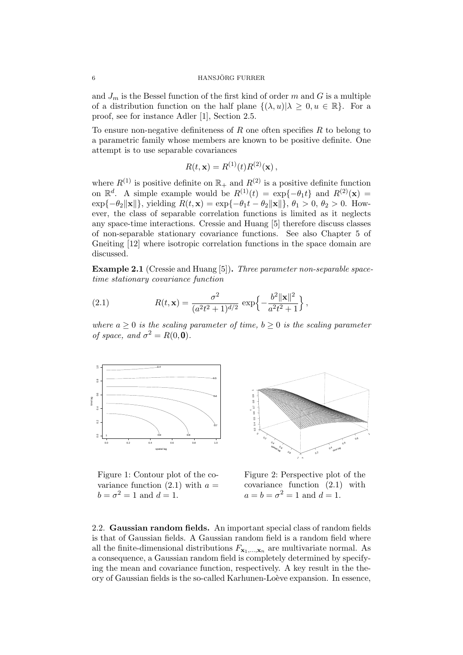#### 6 HANSJÖRG FURRER

and  $J_m$  is the Bessel function of the first kind of order  $m$  and  $G$  is a multiple of a distribution function on the half plane  $\{(\lambda, u)|\lambda \geq 0, u \in \mathbb{R}\}.$  For a proof, see for instance Adler [1], Section 2.5.

To ensure non-negative definiteness of  $R$  one often specifies  $R$  to belong to a parametric family whose members are known to be positive definite. One attempt is to use separable covariances

$$
R(t, \mathbf{x}) = R^{(1)}(t)R^{(2)}(\mathbf{x}),
$$

where  $R^{(1)}$  is positive definite on  $\mathbb{R}_+$  and  $R^{(2)}$  is a positive definite function on  $\mathbb{R}^d$ . A simple example would be  $R^{(1)}(t) = \exp\{-\theta_1 t\}$  and  $R^{(2)}(\mathbf{x}) =$  $\exp{-\theta_2 ||\mathbf{x}||}$ , yielding  $R(t, \mathbf{x}) = \exp{-\theta_1 t - \theta_2 ||\mathbf{x}||}$ ,  $\theta_1 > 0$ ,  $\theta_2 > 0$ . However, the class of separable correlation functions is limited as it neglects any space-time interactions. Cressie and Huang [5] therefore discuss classes of non-separable stationary covariance functions. See also Chapter 5 of Gneiting [12] where isotropic correlation functions in the space domain are discussed.

Example 2.1 (Cressie and Huang [5]). Three parameter non-separable spacetime stationary covariance function

(2.1) 
$$
R(t, \mathbf{x}) = \frac{\sigma^2}{(a^2 t^2 + 1)^{d/2}} \exp\left\{-\frac{b^2 ||\mathbf{x}||^2}{a^2 t^2 + 1}\right\},
$$

where  $a \geq 0$  is the scaling parameter of time,  $b \geq 0$  is the scaling parameter of space, and  $\sigma^2 = R(0, \mathbf{0})$ .



Figure 1: Contour plot of the covariance function  $(2.1)$  with  $a =$  $b = \sigma^2 = 1$  and  $d = 1$ .



Figure 2: Perspective plot of the covariance function (2.1) with  $a = b = \sigma^2 = 1$  and  $d = 1$ .

2.2. Gaussian random fields. An important special class of random fields is that of Gaussian fields. A Gaussian random field is a random field where all the finite-dimensional distributions  $F_{\mathbf{x}_1,\dots,\mathbf{x}_n}$  are multivariate normal. As a consequence, a Gaussian random field is completely determined by specifying the mean and covariance function, respectively. A key result in the theory of Gaussian fields is the so-called Karhunen-Loève expansion. In essence,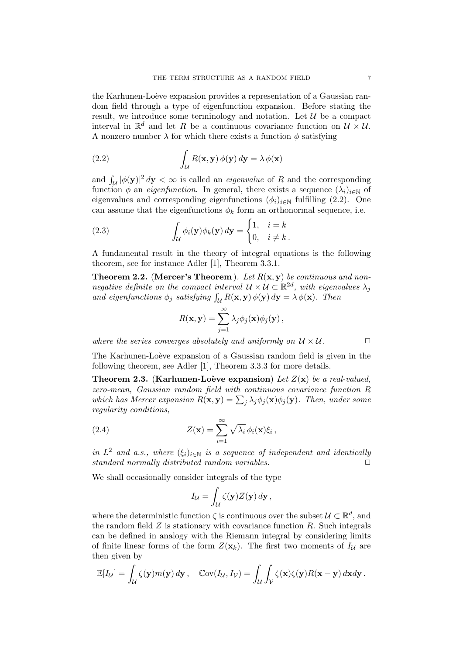the Karhunen-Loève expansion provides a representation of a Gaussian random field through a type of eigenfunction expansion. Before stating the result, we introduce some terminology and notation. Let  $\mathcal U$  be a compact interval in  $\mathbb{R}^d$  and let R be a continuous covariance function on  $\mathcal{U} \times \mathcal{U}$ . A nonzero number  $\lambda$  for which there exists a function  $\phi$  satisfying

(2.2) 
$$
\int_{\mathcal{U}} R(\mathbf{x}, \mathbf{y}) \phi(\mathbf{y}) d\mathbf{y} = \lambda \phi(\mathbf{x})
$$

and  $\int_{\mathcal{U}} |\phi(\mathbf{y})|^2 d\mathbf{y} < \infty$  is called an *eigenvalue* of R and the corresponding function  $\phi$  an *eigenfunction*. In general, there exists a sequence  $(\lambda_i)_{i\in\mathbb{N}}$  of eigenvalues and corresponding eigenfunctions  $(\phi_i)_{i\in\mathbb{N}}$  fulfilling (2.2). One can assume that the eigenfunctions  $\phi_k$  form an orthonormal sequence, i.e.

(2.3) 
$$
\int_{\mathcal{U}} \phi_i(\mathbf{y}) \phi_k(\mathbf{y}) d\mathbf{y} = \begin{cases} 1, & i = k \\ 0, & i \neq k \end{cases}.
$$

A fundamental result in the theory of integral equations is the following theorem, see for instance Adler [1], Theorem 3.3.1.

**Theorem 2.2.** (Mercer's Theorem ). Let  $R(x, y)$  be continuous and nonnegative definite on the compact interval  $\mathcal{U} \times \mathcal{U} \subset \mathbb{R}^{2d}$ , with eigenvalues  $\lambda_j$ and eigenfunctions  $\phi_j$  satisfying  $\int_{\mathcal{U}} R(\mathbf{x}, \mathbf{y}) \phi(\mathbf{y}) d\mathbf{y} = \lambda \phi(\mathbf{x})$ . Then

$$
R(\mathbf{x}, \mathbf{y}) = \sum_{j=1}^{\infty} \lambda_j \phi_j(\mathbf{x}) \phi_j(\mathbf{y}),
$$

where the series converges absolutely and uniformly on  $\mathcal{U} \times \mathcal{U}$ .

The Karhunen-Loève expansion of a Gaussian random field is given in the following theorem, see Adler [1], Theorem 3.3.3 for more details.

**Theorem 2.3.** (Karhunen-Loève expansion) Let  $Z(\mathbf{x})$  be a real-valued, zero-mean, Gaussian random field with continuous covariance function R which has Mercer expansion  $R(\mathbf{x}, \mathbf{y}) = \sum_j \lambda_j \phi_j(\mathbf{x}) \phi_j(\mathbf{y})$ . Then, under some regularity conditions,

(2.4) 
$$
Z(\mathbf{x}) = \sum_{i=1}^{\infty} \sqrt{\lambda_i} \phi_i(\mathbf{x}) \xi_i,
$$

in  $L^2$  and a.s., where  $(\xi_i)_{i\in\mathbb{N}}$  is a sequence of independent and identically standard normally distributed random variables.

We shall occasionally consider integrals of the type

$$
I_{\mathcal{U}} = \int_{\mathcal{U}} \zeta(\mathbf{y}) Z(\mathbf{y}) \, d\mathbf{y},
$$

where the deterministic function  $\zeta$  is continuous over the subset  $\mathcal{U} \subset \mathbb{R}^d$ , and the random field  $Z$  is stationary with covariance function  $R$ . Such integrals can be defined in analogy with the Riemann integral by considering limits of finite linear forms of the form  $Z(\mathbf{x}_k)$ . The first two moments of  $I_{\mathcal{U}}$  are then given by

$$
\mathbb{E}[I_{\mathcal{U}}] = \int_{\mathcal{U}} \zeta(\mathbf{y}) m(\mathbf{y}) \, d\mathbf{y}, \quad \mathbb{C}\mathrm{ov}(I_{\mathcal{U}}, I_{\mathcal{V}}) = \int_{\mathcal{U}} \int_{\mathcal{V}} \zeta(\mathbf{x}) \zeta(\mathbf{y}) R(\mathbf{x} - \mathbf{y}) \, d\mathbf{x} d\mathbf{y}.
$$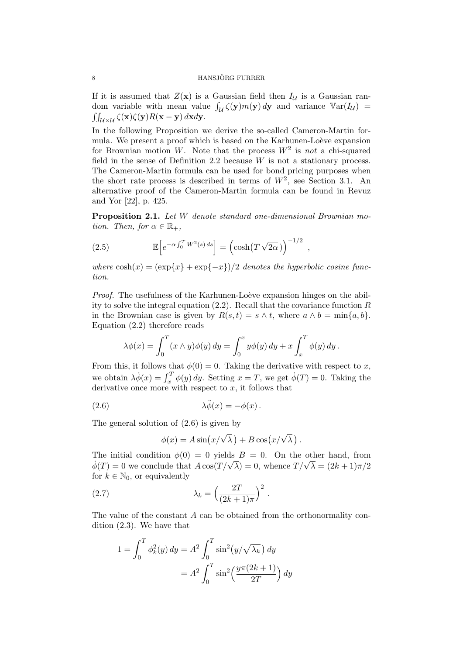If it is assumed that  $Z(\mathbf{x})$  is a Gaussian field then  $I_{\mathcal{U}}$  is a Gaussian random variable with mean value  $\int_{\mathcal{U}} \zeta(\mathbf{y}) m(\mathbf{y}) d\mathbf{y}$  and variance  $\mathbb{V}\text{ar}(I_{\mathcal{U}})$  =  $\iint_{\mathcal{U}\times\mathcal{U}} \zeta(\mathbf{x})\zeta(\mathbf{y})R(\mathbf{x}-\mathbf{y})\,d\mathbf{x}d\mathbf{y}.$ 

In the following Proposition we derive the so-called Cameron-Martin formula. We present a proof which is based on the Karhunen-Loève expansion for Brownian motion W. Note that the process  $W^2$  is not a chi-squared field in the sense of Definition 2.2 because  $W$  is not a stationary process. The Cameron-Martin formula can be used for bond pricing purposes when the short rate process is described in terms of  $W^2$ , see Section 3.1. An alternative proof of the Cameron-Martin formula can be found in Revuz and Yor [22], p. 425.

Proposition 2.1. Let W denote standard one-dimensional Brownian motion. Then, for  $\alpha \in \mathbb{R}_+$ ,

(2.5) 
$$
\mathbb{E}\left[e^{-\alpha \int_0^T W^2(s) ds}\right] = \left(\cosh(T\sqrt{2\alpha})\right)^{-1/2}
$$

where  $\cosh(x) = (\exp\{x\} + \exp\{-x\})/2$  denotes the hyperbolic cosine function.

,

*Proof.* The usefulness of the Karhunen-Loève expansion hinges on the ability to solve the integral equation  $(2.2)$ . Recall that the covariance function R in the Brownian case is given by  $R(s,t) = s \wedge t$ , where  $a \wedge b = \min\{a, b\}$ . Equation (2.2) therefore reads

$$
\lambda \phi(x) = \int_0^T (x \wedge y) \phi(y) dy = \int_0^x y \phi(y) dy + x \int_x^T \phi(y) dy.
$$

From this, it follows that  $\phi(0) = 0$ . Taking the derivative with respect to x, we obtain  $\lambda \dot{\phi}(x) = \int_x^T \phi(y) dy$ . Setting  $x = T$ , we get  $\dot{\phi}(T) = 0$ . Taking the derivative once more with respect to  $x$ , it follows that

(2.6) 
$$
\lambda \ddot{\phi}(x) = -\phi(x) \, .
$$

The general solution of (2.6) is given by

$$
\phi(x) = A \sin\left(\frac{x}{\sqrt{\lambda}}\right) + B \cos\left(\frac{x}{\sqrt{\lambda}}\right).
$$

The initial condition  $\phi(0) = 0$  yields  $B = 0$ . On the other hand, from The finitial condition  $\phi(0) = 0$  yields  $B = 0$ . On the other hand, from<br> $\dot{\phi}(T) = 0$  we conclude that  $A \cos(T/\sqrt{\lambda}) = 0$ , whence  $T/\sqrt{\lambda} = (2k+1)\pi/2$ for  $k \in \mathbb{N}_0$ , or equivalently

(2.7) 
$$
\lambda_k = \left(\frac{2T}{(2k+1)\pi}\right)^2.
$$

The value of the constant A can be obtained from the orthonormality condition (2.3). We have that

$$
1 = \int_0^T \phi_k^2(y) dy = A^2 \int_0^T \sin^2(y/\sqrt{\lambda_k}) dy
$$

$$
= A^2 \int_0^T \sin^2\left(\frac{y\pi(2k+1)}{2T}\right) dy
$$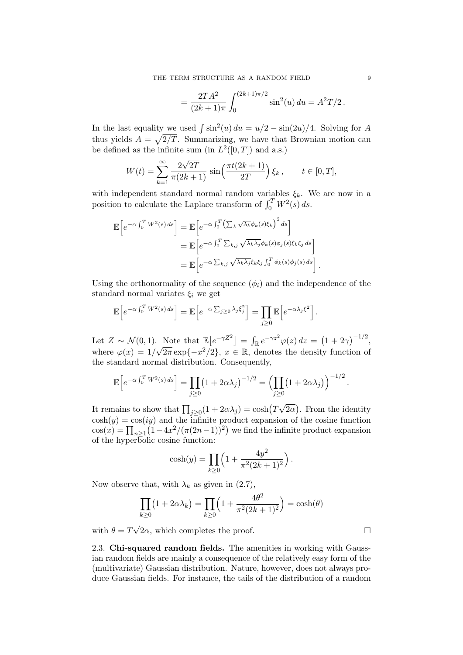$$
= \frac{2TA^2}{(2k+1)\pi} \int_0^{(2k+1)\pi/2} \sin^2(u) \, du = A^2T/2.
$$

In the last equality we used  $\int \sin^2(u) du = u/2 - \sin(2u)/4$ . Solving for A thus yields  $A = \sqrt{2/T}$ . Summarizing, we have that Brownian motion can be defined as the infinite sum (in  $L^2([0,T])$  and a.s.)

$$
W(t) = \sum_{k=1}^{\infty} \frac{2\sqrt{2T}}{\pi(2k+1)} \sin\left(\frac{\pi t(2k+1)}{2T}\right) \xi_k, \qquad t \in [0, T],
$$

with independent standard normal random variables  $\xi_k$ . We are now in a position to calculate the Laplace transform of  $\int_0^T W^2(s) ds$ .

$$
\mathbb{E}\left[e^{-\alpha \int_0^T W^2(s) ds}\right] = \mathbb{E}\left[e^{-\alpha \int_0^T \left(\sum_k \sqrt{\lambda_k} \phi_k(s)\xi_k\right)^2 ds}\right]
$$
  
\n
$$
= \mathbb{E}\left[e^{-\alpha \int_0^T \sum_{k,j} \sqrt{\lambda_k \lambda_j} \phi_k(s)\phi_j(s)\xi_k\xi_j ds}\right]
$$
  
\n
$$
= \mathbb{E}\left[e^{-\alpha \sum_{k,j} \sqrt{\lambda_k \lambda_j} \xi_k\xi_j \int_0^T \phi_k(s)\phi_j(s) ds}\right].
$$

Using the orthonormality of the sequence  $(\phi_i)$  and the independence of the standard normal variates  $\xi_i$  we get

$$
\mathbb{E}\Big[e^{-\alpha\int_0^T W^2(s)\,ds}\Big] = \mathbb{E}\Big[e^{-\alpha\sum_{j\geq 0}\lambda_j\xi_j^2}\Big] = \prod_{j\geq 0}\mathbb{E}\Big[e^{-\alpha\lambda_j\xi^2}\Big].
$$

Let  $Z \sim \mathcal{N}(0, 1)$ . Note that  $\mathbb{E}[e^{-\gamma Z^2}] = \int_{\mathbb{R}} e^{-\gamma z^2} \varphi(z) dz = (1 + 2\gamma)^{-1/2}$ , where  $\varphi(x) = 1/\sqrt{2\pi} \exp\{-x^2/2\}, x \in \mathbb{R}$ , denotes the density function of the standard normal distribution. Consequently,

$$
\mathbb{E}\left[e^{-\alpha \int_0^T W^2(s) ds}\right] = \prod_{j\geq 0} \left(1 + 2\alpha \lambda_j\right)^{-1/2} = \left(\prod_{j\geq 0} \left(1 + 2\alpha \lambda_j\right)\right)^{-1/2}
$$

It remains to show that  $\prod_{j\geq 0} (1 + 2\alpha \lambda_j) = \cosh(T)$  $\overline{2\alpha}$ ). From the identity  $\cosh(y) = \cos(iy)$  and the infinite product expansion of the cosine function  $cos(x) = \prod_{n\geq 1} (1 - 4x^2/(\pi(2n-1))^2)$  we find the infinite product expansion of the hyperbolic cosine function:

$$
\cosh(y) = \prod_{k \ge 0} \left( 1 + \frac{4y^2}{\pi^2 (2k+1)^2} \right).
$$

Now observe that, with  $\lambda_k$  as given in (2.7),

$$
\prod_{k\geq 0} (1 + 2\alpha \lambda_k) = \prod_{k\geq 0} \left( 1 + \frac{4\theta^2}{\pi^2 (2k+1)^2} \right) = \cosh(\theta)
$$

with  $\theta = T$  $\sqrt{2\alpha}$ , which completes the proof.

2.3. Chi-squared random fields. The amenities in working with Gaussian random fields are mainly a consequence of the relatively easy form of the (multivariate) Gaussian distribution. Nature, however, does not always produce Gaussian fields. For instance, the tails of the distribution of a random

.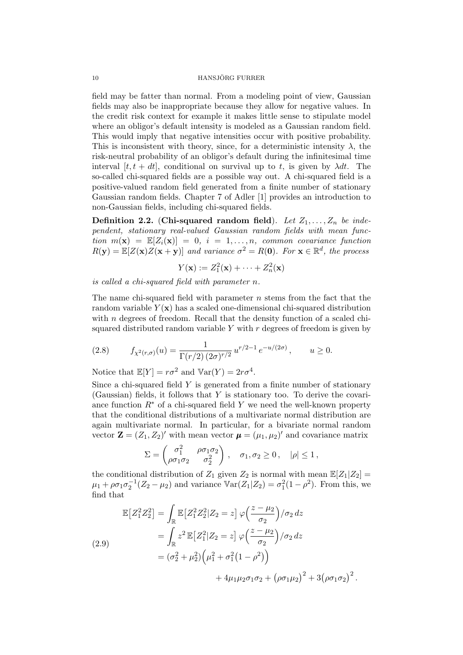field may be fatter than normal. From a modeling point of view, Gaussian fields may also be inappropriate because they allow for negative values. In the credit risk context for example it makes little sense to stipulate model where an obligor's default intensity is modeled as a Gaussian random field. This would imply that negative intensities occur with positive probability. This is inconsistent with theory, since, for a deterministic intensity  $\lambda$ , the risk-neutral probability of an obligor's default during the infinitesimal time interval  $[t, t + dt]$ , conditional on survival up to t, is given by  $\lambda dt$ . The so-called chi-squared fields are a possible way out. A chi-squared field is a positive-valued random field generated from a finite number of stationary Gaussian random fields. Chapter 7 of Adler [1] provides an introduction to non-Gaussian fields, including chi-squared fields.

**Definition 2.2.** (Chi-squared random field). Let  $Z_1, \ldots, Z_n$  be independent, stationary real-valued Gaussian random fields with mean function  $m(\mathbf{x}) = \mathbb{E}[Z_i(\mathbf{x})] = 0, i = 1, ..., n$ , common covariance function  $R(\mathbf{y}) = \mathbb{E}[Z(\mathbf{x})Z(\mathbf{x} + \mathbf{y})]$  and variance  $\sigma^2 = R(\mathbf{0})$ . For  $\mathbf{x} \in \mathbb{R}^d$ , the process

$$
Y(\mathbf{x}) := Z_1^2(\mathbf{x}) + \dots + Z_n^2(\mathbf{x})
$$

is called a chi-squared field with parameter n.

The name chi-squared field with parameter  $n$  stems from the fact that the random variable  $Y(\mathbf{x})$  has a scaled one-dimensional chi-squared distribution with *n* degrees of freedom. Recall that the density function of a scaled chisquared distributed random variable Y with  $r$  degrees of freedom is given by

(2.8) 
$$
f_{\chi^2(r,\sigma)}(u) = \frac{1}{\Gamma(r/2) (2\sigma)^{r/2}} u^{r/2-1} e^{-u/(2\sigma)}, \qquad u \ge 0.
$$

Notice that  $\mathbb{E}[Y] = r\sigma^2$  and  $\mathbb{V}\text{ar}(Y) = 2r\sigma^4$ .

Since a chi-squared field  $Y$  is generated from a finite number of stationary (Gaussian) fields, it follows that  $Y$  is stationary too. To derive the covariance function  $R^*$  of a chi-squared field Y we need the well-known property that the conditional distributions of a multivariate normal distribution are again multivariate normal. In particular, for a bivariate normal random vector  $\mathbf{Z} = (Z_1, Z_2)'$  with mean vector  $\boldsymbol{\mu} = (\mu_1, \mu_2)'$  and covariance matrix

$$
\Sigma = \begin{pmatrix} \sigma_1^2 & \rho \sigma_1 \sigma_2 \\ \rho \sigma_1 \sigma_2 & \sigma_2^2 \end{pmatrix}, \quad \sigma_1, \sigma_2 \ge 0, \quad |\rho| \le 1,
$$

the conditional distribution of  $Z_1$  given  $Z_2$  is normal with mean  $\mathbb{E}[Z_1|Z_2] =$  $\mu_1 + \rho \sigma_1 \sigma_2^{-1} (Z_2 - \mu_2)$  and variance  $\text{Var}(Z_1 | Z_2) = \sigma_1^2 (1 - \rho^2)$ . From this, we find that

$$
\mathbb{E}\left[Z_1^2 Z_2^2\right] = \int_{\mathbb{R}} \mathbb{E}\left[Z_1^2 Z_2^2 | Z_2 = z\right] \varphi\left(\frac{z - \mu_2}{\sigma_2}\right) / \sigma_2 \, dz
$$
\n
$$
= \int_{\mathbb{R}} z^2 \, \mathbb{E}\left[Z_1^2 | Z_2 = z\right] \varphi\left(\frac{z - \mu_2}{\sigma_2}\right) / \sigma_2 \, dz
$$
\n
$$
= (\sigma_2^2 + \mu_2^2) \left(\mu_1^2 + \sigma_1^2 (1 - \rho^2)\right)
$$
\n
$$
+ 4\mu_1 \mu_2 \sigma_1 \sigma_2 + \left(\rho \sigma_1 \mu_2\right)^2 + 3\left(\rho \sigma_1 \sigma_2\right)^2.
$$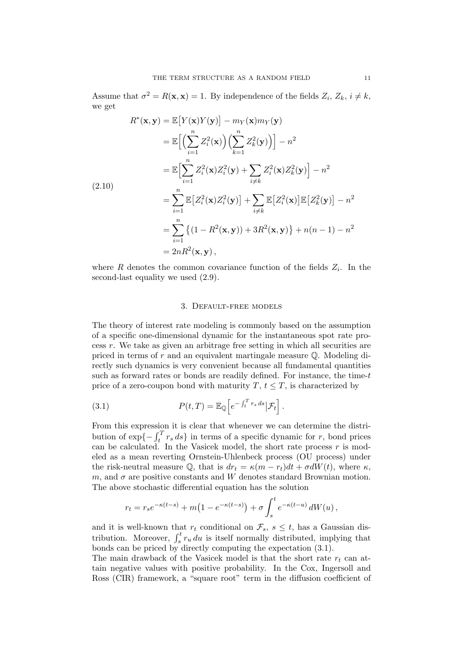Assume that  $\sigma^2 = R(\mathbf{x}, \mathbf{x}) = 1$ . By independence of the fields  $Z_i, Z_k, i \neq k$ , we get

$$
R^*(\mathbf{x}, \mathbf{y}) = \mathbb{E}\big[Y(\mathbf{x})Y(\mathbf{y})\big] - m_Y(\mathbf{x})m_Y(\mathbf{y})
$$
  
\n
$$
= \mathbb{E}\Big[\Big(\sum_{i=1}^n Z_i^2(\mathbf{x})\Big)\Big(\sum_{k=1}^n Z_k^2(\mathbf{y})\Big)\Big] - n^2
$$
  
\n
$$
= \mathbb{E}\Big[\sum_{i=1}^n Z_i^2(\mathbf{x})Z_i^2(\mathbf{y}) + \sum_{i \neq k} Z_i^2(\mathbf{x})Z_k^2(\mathbf{y})\Big] - n^2
$$
  
\n(2.10)  
\n
$$
= \sum_{i=1}^n \mathbb{E}\big[Z_i^2(\mathbf{x})Z_i^2(\mathbf{y})\big] + \sum_{i \neq k} \mathbb{E}\big[Z_i^2(\mathbf{x})\big]\mathbb{E}\big[Z_k^2(\mathbf{y})\big] - n^2
$$
  
\n
$$
= \sum_{i=1}^n \{(1 - R^2(\mathbf{x}, \mathbf{y})) + 3R^2(\mathbf{x}, \mathbf{y})\} + n(n - 1) - n^2
$$
  
\n
$$
= 2nR^2(\mathbf{x}, \mathbf{y}),
$$

where R denotes the common covariance function of the fields  $Z_i$ . In the second-last equality we used (2.9).

#### 3. Default-free models

The theory of interest rate modeling is commonly based on the assumption of a specific one-dimensional dynamic for the instantaneous spot rate process  $r$ . We take as given an arbitrage free setting in which all securities are priced in terms of r and an equivalent martingale measure Q. Modeling directly such dynamics is very convenient because all fundamental quantities such as forward rates or bonds are readily defined. For instance, the time-t price of a zero-coupon bond with maturity  $T, t \leq T$ , is characterized by

(3.1) 
$$
P(t,T) = \mathbb{E}_{\mathbb{Q}}\left[e^{-\int_t^T r_s ds}|\mathcal{F}_t\right].
$$

From this expression it is clear that whenever we can determine the distribution of  $\exp\{-\int_t^T r_s ds\}$  in terms of a specific dynamic for r, bond prices can be calculated. In the Vasicek model, the short rate process  $r$  is modeled as a mean reverting Ornstein-Uhlenbeck process (OU process) under the risk-neutral measure  $\mathbb{Q}$ , that is  $dr_t = \kappa (m - r_t) dt + \sigma dW(t)$ , where  $\kappa$ , m, and  $\sigma$  are positive constants and W denotes standard Brownian motion. The above stochastic differential equation has the solution

$$
r_t = r_s e^{-\kappa(t-s)} + m\left(1 - e^{-\kappa(t-s)}\right) + \sigma \int_s^t e^{-\kappa(t-u)} dW(u) ,
$$

and it is well-known that  $r_t$  conditional on  $\mathcal{F}_s$ ,  $s \leq t$ , has a Gaussian distribution. Moreover,  $\int_s^t r_u du$  is itself normally distributed, implying that bonds can be priced by directly computing the expectation (3.1).

The main drawback of the Vasicek model is that the short rate  $r_t$  can attain negative values with positive probability. In the Cox, Ingersoll and Ross (CIR) framework, a "square root" term in the diffusion coefficient of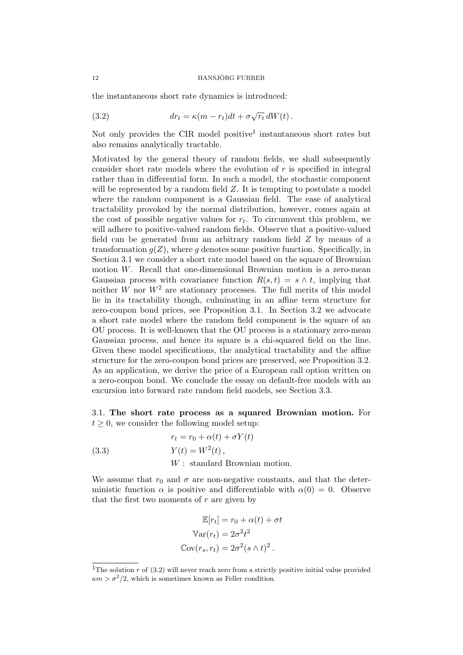the instantaneous short rate dynamics is introduced:

(3.2) 
$$
dr_t = \kappa (m - r_t) dt + \sigma \sqrt{r_t} dW(t).
$$

Not only provides the CIR model positive<sup>1</sup> instantaneous short rates but also remains analytically tractable.

Motivated by the general theory of random fields, we shall subsequently consider short rate models where the evolution of  $r$  is specified in integral rather than in differential form. In such a model, the stochastic component will be represented by a random field  $Z$ . It is tempting to postulate a model where the random component is a Gaussian field. The ease of analytical tractability provoked by the normal distribution, however, comes again at the cost of possible negative values for  $r_t$ . To circumvent this problem, we will adhere to positive-valued random fields. Observe that a positive-valued field can be generated from an arbitrary random field Z by means of a transformation  $g(Z)$ , where g denotes some positive function. Specifically, in Section 3.1 we consider a short rate model based on the square of Brownian motion W. Recall that one-dimensional Brownian motion is a zero-mean Gaussian process with covariance function  $R(s, t) = s \wedge t$ , implying that neither W nor  $W^2$  are stationary processes. The full merits of this model lie in its tractability though, culminating in an affine term structure for zero-coupon bond prices, see Proposition 3.1. In Section 3.2 we advocate a short rate model where the random field component is the square of an OU process. It is well-known that the OU process is a stationary zero-mean Gaussian process, and hence its square is a chi-squared field on the line. Given these model specifications, the analytical tractability and the affine structure for the zero-coupon bond prices are preserved, see Proposition 3.2. As an application, we derive the price of a European call option written on a zero-coupon bond. We conclude the essay on default-free models with an excursion into forward rate random field models, see Section 3.3.

3.1. The short rate process as a squared Brownian motion. For  $t \geq 0$ , we consider the following model setup:

(3.3) 
$$
r_t = r_0 + \alpha(t) + \sigma Y(t)
$$

$$
Y(t) = W^2(t),
$$

$$
W: standard Brownian motion.
$$

We assume that  $r_0$  and  $\sigma$  are non-negative constants, and that the deterministic function  $\alpha$  is positive and differentiable with  $\alpha(0) = 0$ . Observe that the first two moments of  $r$  are given by

$$
\mathbb{E}[r_t] = r_0 + \alpha(t) + \sigma t
$$

$$
\mathbb{V}\text{ar}(r_t) = 2\sigma^2 t^2
$$

$$
\mathbb{C}\text{ov}(r_s, r_t) = 2\sigma^2 (s \wedge t)^2.
$$

<sup>&</sup>lt;sup>1</sup>The solution r of  $(3.2)$  will never reach zero from a strictly positive initial value provided  $\kappa m > \sigma^2/2$ , which is sometimes known as Feller condition.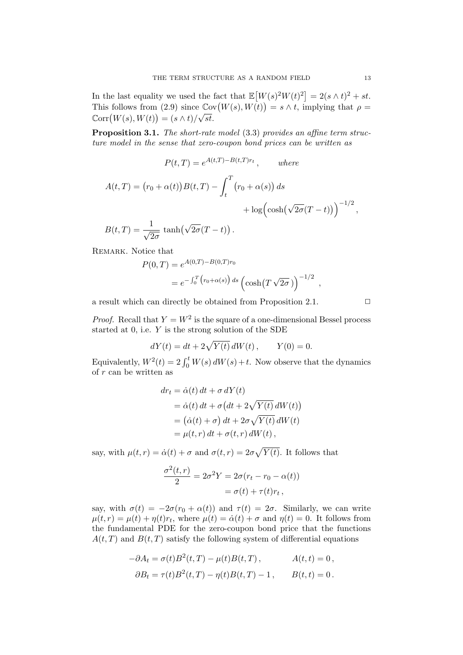In the last equality we used the fact that  $\mathbb{E}[W(s)^2 W(t)^2] = 2(s \wedge t)^2 + st$ . This follows from (2.9) since  $\mathbb{C}\text{ov}(W(s), W(t)) = s \wedge t$ , implying that  $\rho = \tilde{\mathcal{L}}(W(s), W(t))$  $\operatorname{Corr}(W(s), W(t)) = (s \wedge t)/\sqrt{st}.$ 

Proposition 3.1. The short-rate model (3.3) provides an affine term structure model in the sense that zero-coupon bond prices can be written as

$$
P(t,T) = e^{A(t,T) - B(t,T)r_t}, \qquad \text{where}
$$

$$
A(t,T) = (r_0 + \alpha(t))B(t,T) - \int_t^T (r_0 + \alpha(s)) ds
$$

$$
+ \log\left(\cosh(\sqrt{2\sigma}(T-t))\right)^{-1/2}
$$

$$
B(t,T) = \frac{1}{\sqrt{2\sigma}} \tanh(\sqrt{2\sigma}(T-t)).
$$

REMARK. Notice that

 $2\sigma$ 

$$
P(0,T) = e^{A(0,T) - B(0,T)r_0}
$$
  
=  $e^{-\int_0^T (r_0 + \alpha(s)) ds} (\cosh(T \sqrt{2\sigma}))^{-1/2}$ 

a result which can directly be obtained from Proposition 2.1.  $\Box$ 

*Proof.* Recall that  $Y = W^2$  is the square of a one-dimensional Bessel process started at  $0$ , i.e.  $Y$  is the strong solution of the SDE

$$
dY(t) = dt + 2\sqrt{Y(t)} \, dW(t) \, , \qquad Y(0) = 0.
$$

Equivalently,  $W^2(t) = 2 \int_0^t W(s) dW(s) + t$ . Now observe that the dynamics of r can be written as

$$
dr_t = \dot{\alpha}(t) dt + \sigma dY(t)
$$
  
=  $\dot{\alpha}(t) dt + \sigma (dt + 2\sqrt{Y(t)} dW(t))$   
=  $(\dot{\alpha}(t) + \sigma) dt + 2\sigma \sqrt{Y(t)} dW(t)$   
=  $\mu(t, r) dt + \sigma(t, r) dW(t)$ ,

say, with  $\mu(t,r) = \dot{\alpha}(t) + \sigma$  and  $\sigma(t,r) = 2\sigma\sqrt{Y(t)}$ . It follows that

$$
\frac{\sigma^2(t,r)}{2} = 2\sigma^2 Y = 2\sigma(r_t - r_0 - \alpha(t))
$$

$$
= \sigma(t) + \tau(t)r_t,
$$

say, with  $\sigma(t) = -2\sigma(r_0 + \alpha(t))$  and  $\tau(t) = 2\sigma$ . Similarly, we can write  $\mu(t,r) = \mu(t) + \eta(t)r_t$ , where  $\mu(t) = \dot{\alpha}(t) + \sigma$  and  $\eta(t) = 0$ . It follows from the fundamental PDE for the zero-coupon bond price that the functions  $A(t, T)$  and  $B(t, T)$  satisfy the following system of differential equations

$$
-\partial A_t = \sigma(t)B^2(t,T) - \mu(t)B(t,T), \qquad A(t,t) = 0,
$$
  

$$
\partial B_t = \tau(t)B^2(t,T) - \eta(t)B(t,T) - 1, \qquad B(t,t) = 0.
$$

,

,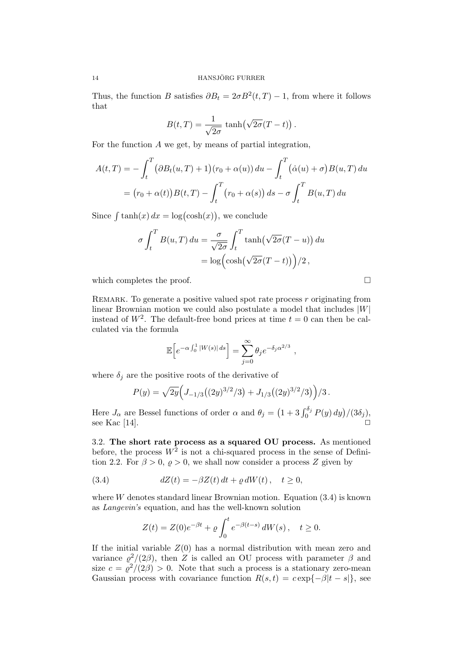Thus, the function B satisfies  $\partial B_t = 2\sigma B^2(t,T) - 1$ , from where it follows that

$$
B(t,T) = \frac{1}{\sqrt{2\sigma}} \tanh(\sqrt{2\sigma}(T-t)).
$$

For the function A we get, by means of partial integration,

$$
A(t,T) = -\int_t^T \left(\partial B_t(u,T) + 1\right)(r_0 + \alpha(u)) du - \int_t^T \left(\dot{\alpha}(u) + \sigma\right) B(u,T) du
$$

$$
= (r_0 + \alpha(t)) B(t,T) - \int_t^T \left(r_0 + \alpha(s)\right) ds - \sigma \int_t^T B(u,T) du
$$

Since  $\int \tanh(x) dx = \log(\cosh(x))$ , we conclude

$$
\sigma \int_t^T B(u, T) du = \frac{\sigma}{\sqrt{2\sigma}} \int_t^T \tanh(\sqrt{2\sigma}(T - u)) du
$$
  
=  $\log \left( \cosh(\sqrt{2\sigma}(T - t)) \right) / 2,$ 

which completes the proof.

REMARK. To generate a positive valued spot rate process  $r$  originating from linear Brownian motion we could also postulate a model that includes  $|W|$ instead of  $W^2$ . The default-free bond prices at time  $t = 0$  can then be calculated via the formula

$$
\mathbb{E}\Big[e^{-\alpha\int_0^1 |W(s)|\,ds}\Big] = \sum_{j=0}^\infty \theta_j e^{-\delta_j \alpha^{2/3}},
$$

where  $\delta_j$  are the positive roots of the derivative of

$$
P(y) = \sqrt{2y} \Big( J_{-1/3} \big( (2y)^{3/2}/3 \big) + J_{1/3} \big( (2y)^{3/2}/3 \big) \Big) / 3 \, .
$$

Here  $J_{\alpha}$  are Bessel functions of order  $\alpha$  and  $\theta_j = (1 + 3 \int_0^{\delta_j} P(y) dy)/(3\delta_j)$ , see Kac [14].

3.2. The short rate process as a squared OU process. As mentioned before, the process  $W^2$  is not a chi-squared process in the sense of Definition 2.2. For  $\beta > 0$ ,  $\rho > 0$ , we shall now consider a process Z given by

(3.4) 
$$
dZ(t) = -\beta Z(t) dt + \varrho dW(t), \quad t \ge 0,
$$

where  $W$  denotes standard linear Brownian motion. Equation  $(3.4)$  is known as Langevin's equation, and has the well-known solution

$$
Z(t) = Z(0)e^{-\beta t} + \varrho \int_0^t e^{-\beta(t-s)} dW(s), \quad t \ge 0.
$$

If the initial variable  $Z(0)$  has a normal distribution with mean zero and variance  $\varrho^2/(2\beta)$ , then Z is called an OU process with parameter  $\beta$  and size  $c = \rho^2/(2\beta) > 0$ . Note that such a process is a stationary zero-mean Gaussian process with covariance function  $R(s,t) = c \exp\{-\beta |t-s|\}$ , see

$$
\Box
$$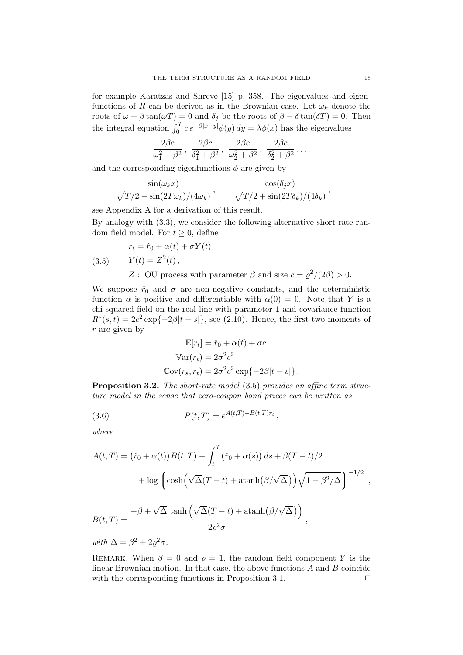for example Karatzas and Shreve [15] p. 358. The eigenvalues and eigenfunctions of R can be derived as in the Brownian case. Let  $\omega_k$  denote the roots of  $\omega + \beta \tan(\omega T) = 0$  and  $\delta_i$  be the roots of  $\beta - \delta \tan(\delta T) = 0$ . Then the integral equation  $\int_0^T c e^{-\beta |x-y|} \phi(y) dy = \lambda \phi(x)$  has the eigenvalues

$$
\frac{2\beta c}{\omega_1^2 + \beta^2}, \frac{2\beta c}{\delta_1^2 + \beta^2}, \frac{2\beta c}{\omega_2^2 + \beta^2}, \frac{2\beta c}{\delta_2^2 + \beta^2}, \dots
$$

and the corresponding eigenfunctions  $\phi$  are given by

$$
\frac{\sin(\omega_k x)}{\sqrt{T/2 - \sin(2T\omega_k)/(4\omega_k)}}, \qquad \frac{\cos(\delta_j x)}{\sqrt{T/2 + \sin(2T\delta_k)/(4\delta_k)}},
$$

see Appendix A for a derivation of this result.

By analogy with (3.3), we consider the following alternative short rate random field model. For  $t \geq 0$ , define

(3.5) 
$$
r_t = \hat{r}_0 + \alpha(t) + \sigma Y(t)
$$

$$
Y(t) = Z^2(t),
$$

$$
Z: \text{ OU process with parameter } \beta \text{ and size } c = \rho^2/(2\beta) > 0.
$$

We suppose  $\hat{r}_0$  and  $\sigma$  are non-negative constants, and the deterministic function  $\alpha$  is positive and differentiable with  $\alpha(0) = 0$ . Note that Y is a chi-squared field on the real line with parameter 1 and covariance function  $R^*(s,t) = 2c^2 \exp\{-2\beta|t-s|\},$  see (2.10). Hence, the first two moments of r are given by

$$
\mathbb{E}[r_t] = \hat{r}_0 + \alpha(t) + \sigma c
$$

$$
\mathbb{V}\text{ar}(r_t) = 2\sigma^2 c^2
$$

$$
\mathbb{C}\text{ov}(r_s, r_t) = 2\sigma^2 c^2 \exp\{-2\beta|t - s|\}.
$$

**Proposition 3.2.** The short-rate model (3.5) provides an affine term structure model in the sense that zero-coupon bond prices can be written as

(3.6) 
$$
P(t,T) = e^{A(t,T) - B(t,T)r_t},
$$

where

$$
A(t,T) = (\hat{r}_0 + \alpha(t))B(t,T) - \int_t^T (\hat{r}_0 + \alpha(s)) ds + \beta(T - t)/2
$$
  
+ 
$$
\log \left( \cosh \left( \sqrt{\Delta}(T - t) + \operatorname{atanh}(\beta/\sqrt{\Delta}) \right) \sqrt{1 - \beta^2/\Delta} \right)^{-1/2},
$$
  

$$
B(t,T) = \frac{-\beta + \sqrt{\Delta} \tanh \left( \sqrt{\Delta}(T - t) + \operatorname{atanh}(\beta/\sqrt{\Delta}) \right)}{2\varrho^2 \sigma},
$$

with  $\Delta = \beta^2 + 2\varrho^2 \sigma$ .

REMARK. When  $\beta = 0$  and  $\rho = 1$ , the random field component Y is the linear Brownian motion. In that case, the above functions  $A$  and  $B$  coincide with the corresponding functions in Proposition 3.1.  $\Box$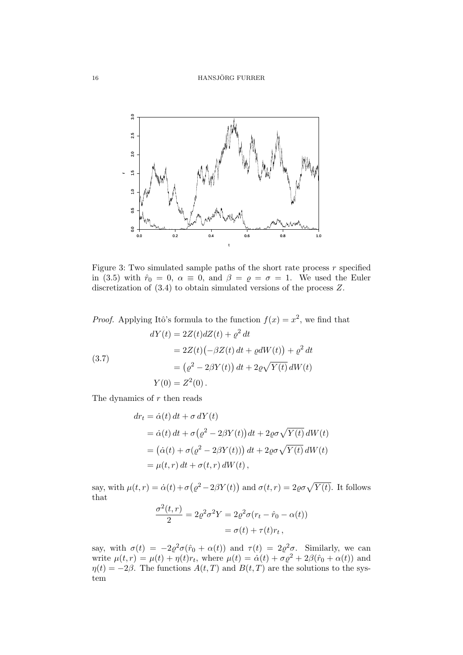

Figure 3: Two simulated sample paths of the short rate process  $r$  specified in (3.5) with  $\hat{r}_0 = 0$ ,  $\alpha \equiv 0$ , and  $\beta = \rho = \sigma = 1$ . We used the Euler discretization of (3.4) to obtain simulated versions of the process Z.

*Proof.* Applying Itô's formula to the function  $f(x) = x^2$ , we find that

(3.7)  
\n
$$
dY(t) = 2Z(t)dZ(t) + \varrho^2 dt
$$
\n
$$
= 2Z(t)(-\beta Z(t) dt + \varrho dW(t)) + \varrho^2 dt
$$
\n
$$
= (\varrho^2 - 2\beta Y(t)) dt + 2\varrho \sqrt{Y(t)} dW(t)
$$
\n
$$
Y(0) = Z^2(0).
$$

The dynamics of  $r$  then reads

$$
dr_t = \dot{\alpha}(t) dt + \sigma dY(t)
$$
  
=  $\dot{\alpha}(t) dt + \sigma (\rho^2 - 2\beta Y(t)) dt + 2\rho \sigma \sqrt{Y(t)} dW(t)$   
=  $(\dot{\alpha}(t) + \sigma (\rho^2 - 2\beta Y(t))) dt + 2\rho \sigma \sqrt{Y(t)} dW(t)$   
=  $\mu(t, r) dt + \sigma(t, r) dW(t)$ ,

say, with  $\mu(t,r) = \dot{\alpha}(t) + \sigma(\varrho^2 - 2\beta Y(t))$  and  $\sigma(t,r) = 2\varrho\sigma\sqrt{Y(t)}$ . It follows that  $2<sup>2</sup>$ 

$$
\frac{\sigma^2(t,r)}{2} = 2\varrho^2 \sigma^2 Y = 2\varrho^2 \sigma (r_t - \hat{r}_0 - \alpha(t))
$$

$$
= \sigma(t) + \tau(t)r_t,
$$

say, with  $\sigma(t) = -2\varrho^2\sigma(\hat{r}_0 + \alpha(t))$  and  $\tau(t) = 2\varrho^2\sigma$ . Similarly, we can write  $\mu(t,r) = \mu(t) + \eta(t)r_t$ , where  $\mu(t) = \dot{\alpha}(t) + \sigma \varrho^2 + 2\beta(\hat{r}_0 + \alpha(t))$  and  $\eta(t) = -2\beta$ . The functions  $A(t, T)$  and  $B(t, T)$  are the solutions to the system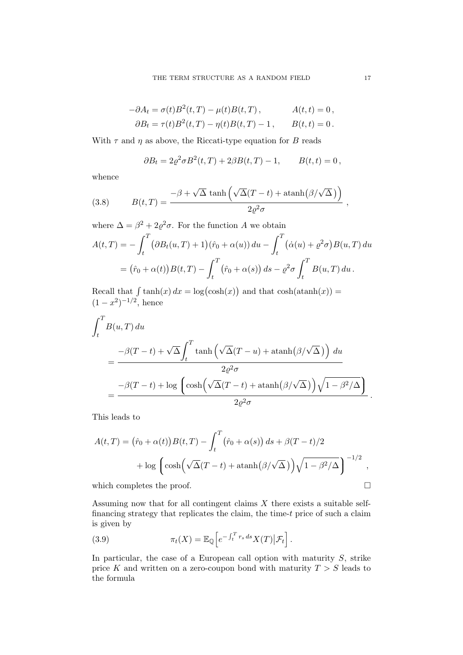$$
-\partial A_t = \sigma(t)B^2(t,T) - \mu(t)B(t,T), \qquad A(t,t) = 0,
$$
  

$$
\partial B_t = \tau(t)B^2(t,T) - \eta(t)B(t,T) - 1, \qquad B(t,t) = 0.
$$

With  $\tau$  and  $\eta$  as above, the Riccati-type equation for B reads

$$
\partial B_t = 2\varrho^2 \sigma B^2(t, T) + 2\beta B(t, T) - 1, \qquad B(t, t) = 0,
$$

whence

(3.8) 
$$
B(t,T) = \frac{-\beta + \sqrt{\Delta} \tanh\left(\sqrt{\Delta}(T-t) + \operatorname{atanh}(\beta/\sqrt{\Delta})\right)}{2\varrho^2 \sigma},
$$

where  $\Delta = \beta^2 + 2\varrho^2 \sigma$ . For the function A we obtain  $A(t,T) = -\int_0^T$ t  $\left(\partial B_t(u,T) + 1\right)(\hat{r}_0 + \alpha(u)) du - \int_0^T$ t  $(\dot{\alpha}(u) + \varrho^2 \sigma) B(u, T) du$  $=\bigl(\hat{r}_0+\alpha(t)\bigr)B(t,T)-\int^T$ t  $(\hat{r}_0 + \alpha(s)) ds - \varrho^2 \sigma \int^T$ t  $B(u,T) du$ .

Recall that  $\int \tanh(x) dx = \log(\cosh(x))$  and that  $\cosh(\operatorname{atanh}(x)) =$  $(1-x^2)^{-1/2}$ , hence

$$
\int_{t}^{T} B(u, T) du
$$
\n
$$
= \frac{-\beta(T - t) + \sqrt{\Delta} \int_{t}^{T} \tanh\left(\sqrt{\Delta}(T - u) + \operatorname{atanh}(\beta/\sqrt{\Delta})\right) du}{2\varrho^{2} \sigma}
$$
\n
$$
= \frac{-\beta(T - t) + \log\left(\cosh\left(\sqrt{\Delta}(T - t) + \operatorname{atanh}(\beta/\sqrt{\Delta})\right)\sqrt{1 - \beta^{2}/\Delta}\right)}{2\varrho^{2} \sigma}.
$$

This leads to

$$
A(t,T) = (\hat{r}_0 + \alpha(t))B(t,T) - \int_t^T (\hat{r}_0 + \alpha(s)) ds + \beta(T-t)/2
$$
  
+ 
$$
\log \left( \cosh \left( \sqrt{\Delta}(T-t) + \operatorname{atanh}(\beta/\sqrt{\Delta}) \right) \sqrt{1 - \beta^2/\Delta} \right)^{-1/2},
$$

which completes the proof.  $\Box$ 

Assuming now that for all contingent claims  $X$  there exists a suitable selffinancing strategy that replicates the claim, the time-t price of such a claim is given by

(3.9) 
$$
\pi_t(X) = \mathbb{E}_{\mathbb{Q}} \Big[ e^{-\int_t^T r_s ds} X(T) \big| \mathcal{F}_t \Big].
$$

In particular, the case of a European call option with maturity  $S$ , strike price K and written on a zero-coupon bond with maturity  $T > S$  leads to the formula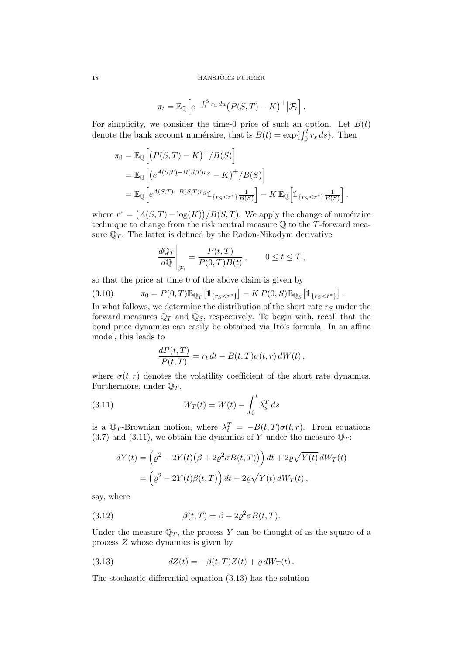#### 18 HANSJÖRG FURRER

$$
\pi_t = \mathbb{E}_{\mathbb{Q}}\Big[e^{-\int_t^S r_u du}\big(P(S,T)-K\big)^+ \big|\mathcal{F}_t\Big].
$$

For simplicity, we consider the time-0 price of such an option. Let  $B(t)$ denote the bank account numéraire, that is  $B(t) = \exp\{\int_0^t r_s ds\}$ . Then

$$
\pi_0 = \mathbb{E}_{\mathbb{Q}} \Big[ \big( P(S, T) - K \big)^+ / B(S) \Big] \n= \mathbb{E}_{\mathbb{Q}} \Big[ \big( e^{A(S, T) - B(S, T) r_S} - K \big)^+ / B(S) \Big] \n= \mathbb{E}_{\mathbb{Q}} \Big[ e^{A(S, T) - B(S, T) r_S} \mathbb{1}_{\{r_S < r^*\}} \frac{1}{B(S)} \Big] - K \mathbb{E}_{\mathbb{Q}} \Big[ \mathbb{1}_{\{r_S < r^*\}} \frac{1}{B(S)} \Big].
$$

where  $r^* = (A(S,T) - \log(K))/B(S,T)$ . We apply the change of numéraire technique to change from the risk neutral measure  $\mathbb Q$  to the T-forward measure  $\mathbb{Q}_T$ . The latter is defined by the Radon-Nikodym derivative

$$
\left. \frac{d\mathbb{Q}_T}{d\mathbb{Q}} \right|_{\mathcal{F}_t} = \frac{P(t,T)}{P(0,T)B(t)}, \qquad 0 \le t \le T,
$$

so that the price at time 0 of the above claim is given by

(3.10) 
$$
\pi_0 = P(0,T)\mathbb{E}_{\mathbb{Q}_T}[\mathbb{1}_{\{r_S < r^*\}}] - KP(0,S)\mathbb{E}_{\mathbb{Q}_S}[\mathbb{1}_{\{r_S < r^*\}}].
$$

In what follows, we determine the distribution of the short rate  $r<sub>S</sub>$  under the forward measures  $\mathbb{Q}_T$  and  $\mathbb{Q}_S$ , respectively. To begin with, recall that the bond price dynamics can easily be obtained via Itô's formula. In an affine model, this leads to

$$
\frac{dP(t,T)}{P(t,T)} = r_t dt - B(t,T)\sigma(t,r) dW(t),
$$

where  $\sigma(t,r)$  denotes the volatility coefficient of the short rate dynamics. Furthermore, under  $\mathbb{Q}_T$ ,

(3.11) 
$$
W_T(t) = W(t) - \int_0^t \lambda_s^T ds
$$

is a  $\mathbb{Q}_T$ -Brownian motion, where  $\lambda_t^T = -B(t,T)\sigma(t,r)$ . From equations  $(3.7)$  and  $(3.11)$ , we obtain the dynamics of Y under the measure  $\mathbb{Q}_T$ :

$$
dY(t) = \left(\varrho^2 - 2Y(t)(\beta + 2\varrho^2 \sigma B(t, T))\right)dt + 2\varrho\sqrt{Y(t)} dW_T(t)
$$
  
= 
$$
\left(\varrho^2 - 2Y(t)\beta(t, T)\right)dt + 2\varrho\sqrt{Y(t)} dW_T(t),
$$

say, where

(3.12) 
$$
\beta(t,T) = \beta + 2\varrho^2 \sigma B(t,T).
$$

Under the measure  $\mathbb{Q}_T$ , the process Y can be thought of as the square of a process Z whose dynamics is given by

(3.13) 
$$
dZ(t) = -\beta(t,T)Z(t) + \varrho dW_T(t).
$$

The stochastic differential equation (3.13) has the solution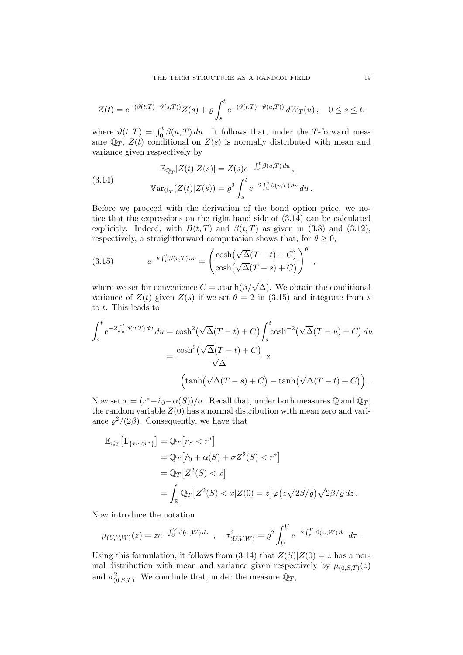$$
Z(t) = e^{-(\vartheta(t,T) - \vartheta(s,T))} Z(s) + \varrho \int_s^t e^{-(\vartheta(t,T) - \vartheta(u,T))} dW_T(u), \quad 0 \le s \le t,
$$

where  $\vartheta(t,T) = \int_0^t \beta(u,T) du$ . It follows that, under the T-forward measure  $\mathbb{Q}_T$ ,  $Z(t)$  conditional on  $Z(s)$  is normally distributed with mean and variance given respectively by

(3.14) 
$$
\mathbb{E}_{\mathbb{Q}_T}[Z(t)|Z(s)] = Z(s)e^{-\int_s^t \beta(u,T) du},
$$

$$
\mathbb{V}\text{ar}_{\mathbb{Q}_T}(Z(t)|Z(s)) = \varrho^2 \int_s^t e^{-2\int_u^t \beta(v,T) dv} du.
$$

Before we proceed with the derivation of the bond option price, we notice that the expressions on the right hand side of (3.14) can be calculated explicitly. Indeed, with  $B(t, T)$  and  $\beta(t, T)$  as given in (3.8) and (3.12), respectively, a straightforward computation shows that, for  $\theta \geq 0$ ,

(3.15) 
$$
e^{-\theta \int_s^t \beta(v,T) dv} = \left(\frac{\cosh(\sqrt{\Delta}(T-t)+C)}{\cosh(\sqrt{\Delta}(T-s)+C)}\right)^{\theta}
$$

where we set for convenience  $C = \operatorname{atanh}(\beta/\sqrt{\Delta})$ . We obtain the conditional variance of  $Z(t)$  given  $Z(s)$  if we set  $\theta = 2$  in (3.15) and integrate from s to t. This leads to

,

$$
\int_{s}^{t} e^{-2\int_{u}^{t} \beta(v,T) dv} du = \cosh^{2}(\sqrt{\Delta}(T-t) + C) \int_{s}^{t} \cosh^{-2}(\sqrt{\Delta}(T-u) + C) du
$$

$$
= \frac{\cosh^{2}(\sqrt{\Delta}(T-t) + C)}{\sqrt{\Delta}} \times
$$

$$
\left(\tanh(\sqrt{\Delta}(T-s) + C) - \tanh(\sqrt{\Delta}(T-t) + C)\right).
$$

Now set  $x = (r^* - \hat{r}_0 - \alpha(S))/\sigma$ . Recall that, under both measures Q and  $\mathbb{Q}_T$ , the random variable  $Z(0)$  has a normal distribution with mean zero and variance  $\varrho^2/(2\beta)$ . Consequently, we have that

$$
\mathbb{E}_{\mathbb{Q}_T} \big[ \mathbb{1}_{\{r_S < r^*\}} \big] = \mathbb{Q}_T \big[ r_S < r^* \big] \n= \mathbb{Q}_T \big[ \hat{r}_0 + \alpha(S) + \sigma Z^2(S) < r^* \big] \n= \mathbb{Q}_T \big[ Z^2(S) < x \big] \n= \int_{\mathbb{R}} \mathbb{Q}_T \big[ Z^2(S) < x | Z(0) = z \big] \varphi \big( z \sqrt{2\beta} / \varrho \big) \sqrt{2\beta} / \varrho \, dz \, .
$$

Now introduce the notation

$$
\mu_{(U,V,W)}(z) = z e^{-\int_U^V \beta(\omega,W) d\omega}, \quad \sigma_{(U,V,W)}^2 = \varrho^2 \int_U^V e^{-2\int_\tau^V \beta(\omega,W) d\omega} d\tau.
$$

Using this formulation, it follows from  $(3.14)$  that  $Z(S)|Z(0) = z$  has a normal distribution with mean and variance given respectively by  $\mu_{(0,S,T)}(z)$ and  $\sigma_{(0,S,T)}^2$ . We conclude that, under the measure  $\mathbb{Q}_T$ ,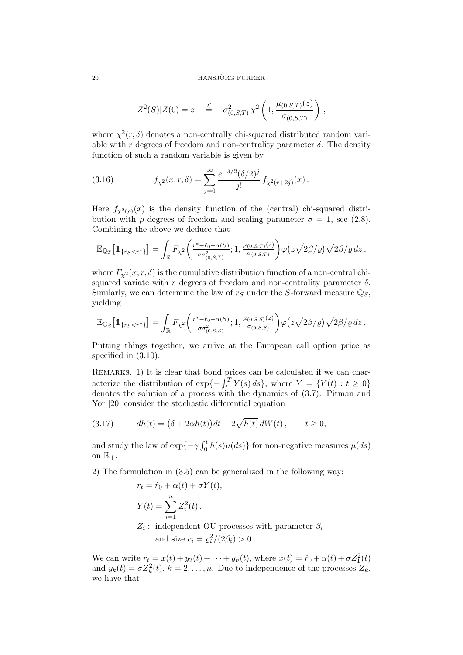#### 20 HANSJÖRG FURRER

$$
Z^2(S)|Z(0) = z \quad \stackrel{\mathcal{L}}{=} \quad \sigma^2_{(0,S,T)} \chi^2 \left(1, \frac{\mu_{(0,S,T)}(z)}{\sigma_{(0,S,T)}}\right) \,,
$$

where  $\chi^2(r,\delta)$  denotes a non-centrally chi-squared distributed random variable with r degrees of freedom and non-centrality parameter  $\delta$ . The density function of such a random variable is given by

(3.16) 
$$
f_{\chi^2}(x; r, \delta) = \sum_{j=0}^{\infty} \frac{e^{-\delta/2} (\delta/2)^j}{j!} f_{\chi^2(r+2j)}(x).
$$

Here  $f_{\chi^2(\rho)}(x)$  is the density function of the (central) chi-squared distribution with  $\rho$  degrees of freedom and scaling parameter  $\sigma = 1$ , see (2.8). Combining the above we deduce that

$$
\mathbb{E}_{\mathbb{Q}_T}\big[\mathbb{1}_{\{r_S < r^*\}}\big] = \int_{\mathbb{R}} F_{\chi^2}\bigg(\frac{r^* - \hat{r}_0 - \alpha(S)}{\sigma \sigma^2_{(0,S,T)}}; 1, \frac{\mu_{(0,S,T)}(z)}{\sigma_{(0,S,T)}}\bigg) \varphi\big(z\sqrt{2\beta}/\varrho\big)\sqrt{2\beta}/\varrho\,dz\,,
$$

where  $F_{\chi^2}(x; r, \delta)$  is the cumulative distribution function of a non-central chisquared variate with r degrees of freedom and non-centrality parameter  $\delta$ . Similarly, we can determine the law of  $r<sub>S</sub>$  under the S-forward measure  $\mathbb{Q}_S$ , yielding

$$
\mathbb{E}_{\mathbb{Q}_S}\big[\mathbb{1}_{\{r_S < r^*\}}\big] = \int_{\mathbb{R}} F_{\chi^2}\bigg(\frac{r^* - \hat{r}_0 - \alpha(S)}{\sigma \sigma^2_{(0,S,S)}}; 1, \frac{\mu_{(0,S,S)}(z)}{\sigma_{(0,S,S)}}\bigg) \varphi\big(z\sqrt{2\beta}/\varrho\big)\sqrt{2\beta}/\varrho\,dz.
$$

Putting things together, we arrive at the European call option price as specified in (3.10).

REMARKS. 1) It is clear that bond prices can be calculated if we can characterize the distribution of  $\exp{-\int_t^T Y(s) ds}$ , where  $Y = \{Y(t) : t \ge 0\}$ denotes the solution of a process with the dynamics of (3.7). Pitman and Yor [20] consider the stochastic differential equation

(3.17) 
$$
dh(t) = (\delta + 2\alpha h(t))dt + 2\sqrt{h(t)}dW(t), \qquad t \ge 0,
$$

and study the law of  $\exp{\{-\gamma \int_0^t h(s) \mu(ds)\}}$  for non-negative measures  $\mu(ds)$ on  $\mathbb{R}_+$ .

2) The formulation in (3.5) can be generalized in the following way:

$$
r_t = \hat{r}_0 + \alpha(t) + \sigma Y(t),
$$
  
\n
$$
Y(t) = \sum_{i=1}^n Z_i^2(t),
$$
  
\n
$$
Z_i: \text{ independent OU processes with parameter } \beta_i
$$
  
\nand size  $c_i = \rho_i^2/(2\beta_i) > 0.$ 

We can write  $r_t = x(t) + y_2(t) + \cdots + y_n(t)$ , where  $x(t) = \hat{r}_0 + \alpha(t) + \sigma Z_1^2(t)$ and  $y_k(t) = \sigma Z_k^2(t)$ ,  $k = 2, ..., n$ . Due to independence of the processes  $Z_k$ , we have that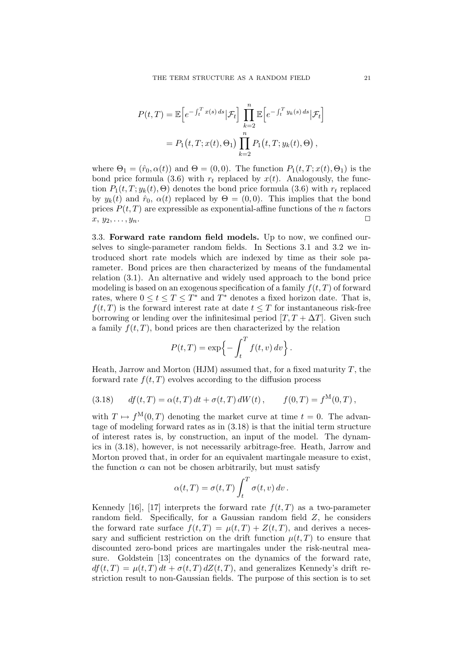$$
P(t,T) = \mathbb{E}\Big[e^{-\int_t^T x(s) ds} | \mathcal{F}_t\Big] \prod_{k=2}^n \mathbb{E}\Big[e^{-\int_t^T y_k(s) ds} | \mathcal{F}_t\Big]
$$
  
=  $P_1(t,T; x(t), \Theta_1) \prod_{k=2}^n P_1(t,T; y_k(t), \Theta),$ 

where  $\Theta_1 = (\hat{r}_0, \alpha(t))$  and  $\Theta = (0, 0)$ . The function  $P_1(t, T; x(t), \Theta_1)$  is the bond price formula (3.6) with  $r_t$  replaced by  $x(t)$ . Analogously, the function  $P_1(t, T; y_k(t), \Theta)$  denotes the bond price formula (3.6) with  $r_t$  replaced by  $y_k(t)$  and  $\hat{r}_0$ ,  $\alpha(t)$  replaced by  $\Theta = (0,0)$ . This implies that the bond prices  $P(t, T)$  are expressible as exponential-affine functions of the *n* factors  $x, y_2, \ldots, y_n.$ 

3.3. Forward rate random field models. Up to now, we confined ourselves to single-parameter random fields. In Sections 3.1 and 3.2 we introduced short rate models which are indexed by time as their sole parameter. Bond prices are then characterized by means of the fundamental relation (3.1). An alternative and widely used approach to the bond price modeling is based on an exogenous specification of a family  $f(t, T)$  of forward rates, where  $0 \le t \le T \le T^*$  and  $T^*$  denotes a fixed horizon date. That is,  $f(t,T)$  is the forward interest rate at date  $t \leq T$  for instantaneous risk-free borrowing or lending over the infinitesimal period  $[T, T + \Delta T]$ . Given such a family  $f(t, T)$ , bond prices are then characterized by the relation

$$
P(t,T) = \exp\{-\int_t^T f(t,v) dv\}.
$$

Heath, Jarrow and Morton (HJM) assumed that, for a fixed maturity  $T$ , the forward rate  $f(t, T)$  evolves according to the diffusion process

(3.18) 
$$
df(t,T) = \alpha(t,T) dt + \sigma(t,T) dW(t), \qquad f(0,T) = f^{M}(0,T),
$$

with  $T \mapsto f^{M}(0,T)$  denoting the market curve at time  $t = 0$ . The advantage of modeling forward rates as in (3.18) is that the initial term structure of interest rates is, by construction, an input of the model. The dynamics in (3.18), however, is not necessarily arbitrage-free. Heath, Jarrow and Morton proved that, in order for an equivalent martingale measure to exist, the function  $\alpha$  can not be chosen arbitrarily, but must satisfy

$$
\alpha(t,T) = \sigma(t,T) \int_t^T \sigma(t,v) dv.
$$

Kennedy [16], [17] interprets the forward rate  $f(t,T)$  as a two-parameter random field. Specifically, for a Gaussian random field Z, he considers the forward rate surface  $f(t,T) = \mu(t,T) + Z(t,T)$ , and derives a necessary and sufficient restriction on the drift function  $\mu(t, T)$  to ensure that discounted zero-bond prices are martingales under the risk-neutral measure. Goldstein [13] concentrates on the dynamics of the forward rate,  $df(t,T) = \mu(t,T) dt + \sigma(t,T) dZ(t,T)$ , and generalizes Kennedy's drift restriction result to non-Gaussian fields. The purpose of this section is to set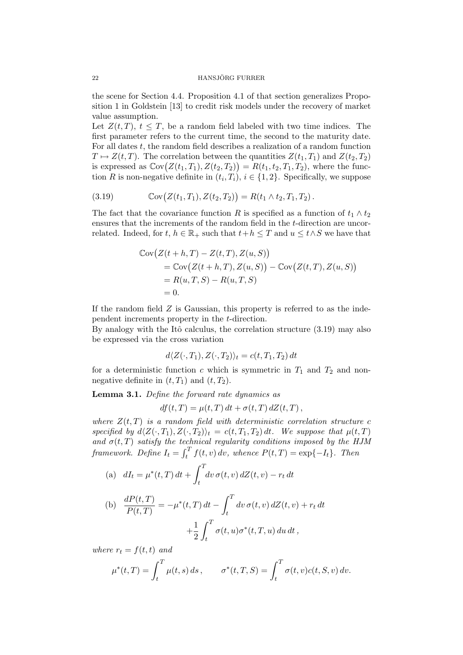the scene for Section 4.4. Proposition 4.1 of that section generalizes Proposition 1 in Goldstein [13] to credit risk models under the recovery of market value assumption.

Let  $Z(t,T)$ ,  $t \leq T$ , be a random field labeled with two time indices. The first parameter refers to the current time, the second to the maturity date. For all dates t, the random field describes a realization of a random function  $T \mapsto Z(t,T)$ . The correlation between the quantities  $Z(t_1,T_1)$  and  $Z(t_2,T_2)$ is expressed as  $Cov(Z(t_1, T_1), Z(t_2, T_2)) = R(t_1, t_2, T_1, T_2)$ , where the function R is non-negative definite in  $(t_i, T_i), i \in \{1, 2\}$ . Specifically, we suppose

(3.19) 
$$
Cov(Z(t_1,T_1),Z(t_2,T_2)) = R(t_1 \wedge t_2,T_1,T_2).
$$

The fact that the covariance function R is specified as a function of  $t_1 \wedge t_2$ ensures that the increments of the random field in the t-direction are uncorrelated. Indeed, for  $t, h \in \mathbb{R}_+$  such that  $t+h \leq T$  and  $u \leq t \wedge S$  we have that

$$
\begin{aligned} \mathbb{C}\text{ov}\big(Z(t+h,T)-Z(t,T),Z(u,S)\big) \\ &= \mathbb{C}\text{ov}\big(Z(t+h,T),Z(u,S)\big) - \mathbb{C}\text{ov}\big(Z(t,T),Z(u,S)\big) \\ &= R(u,T,S) - R(u,T,S) \\ &= 0. \end{aligned}
$$

If the random field  $Z$  is Gaussian, this property is referred to as the independent increments property in the t-direction.

By analogy with the Itô calculus, the correlation structure  $(3.19)$  may also be expressed via the cross variation

$$
d\langle Z(\cdot,T_1),Z(\cdot,T_2)\rangle_t=c(t,T_1,T_2) dt
$$

for a deterministic function c which is symmetric in  $T_1$  and  $T_2$  and nonnegative definite in  $(t, T_1)$  and  $(t, T_2)$ .

Lemma 3.1. Define the forward rate dynamics as

 $df(t,T) = \mu(t,T) dt + \sigma(t,T) dZ(t,T),$ 

where  $Z(t,T)$  is a random field with deterministic correlation structure c specified by  $d\langle Z(\cdot,T_1),Z(\cdot,T_2)\rangle_t = c(t,T_1,T_2) dt$ . We suppose that  $\mu(t,T)$ and  $\sigma(t,T)$  satisfy the technical regularity conditions imposed by the HJM framework. Define  $I_t = \int_t^T f(t, v) dv$ , whence  $P(t, T) = \exp\{-I_t\}$ . Then

(a) 
$$
dI_t = \mu^*(t,T) dt + \int_t^T dv \,\sigma(t,v) dZ(t,v) - r_t dt
$$

(b) 
$$
\frac{dP(t,T)}{P(t,T)} = -\mu^*(t,T) dt - \int_t^T dv \,\sigma(t,v) dZ(t,v) + r_t dt
$$

$$
+ \frac{1}{2} \int_t^T \sigma(t,u) \sigma^*(t,T,u) du dt,
$$

where  $r_t = f(t, t)$  and

$$
\mu^*(t,T) = \int_t^T \mu(t,s) \, ds \,, \qquad \sigma^*(t,T,S) = \int_t^T \sigma(t,v) c(t,S,v) \, dv.
$$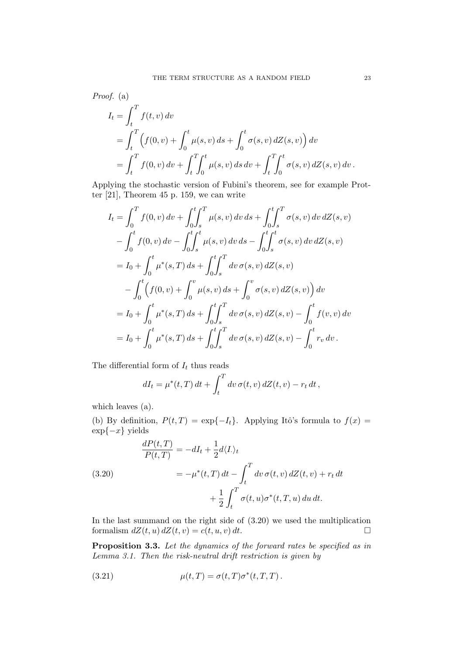Proof. (a)  
\n
$$
I_t = \int_t^T f(t, v) dv
$$
\n
$$
= \int_t^T \left( f(0, v) + \int_0^t \mu(s, v) ds + \int_0^t \sigma(s, v) dZ(s, v) \right) dv
$$
\n
$$
= \int_t^T f(0, v) dv + \int_t^T \int_0^t \mu(s, v) ds dv + \int_t^T \int_0^t \sigma(s, v) dZ(s, v) dv.
$$

Applying the stochastic version of Fubini's theorem, see for example Protter [21], Theorem 45 p. 159, we can write

$$
I_{t} = \int_{0}^{T} f(0, v) dv + \int_{0}^{t} \int_{s}^{T} \mu(s, v) dv ds + \int_{0}^{t} \int_{s}^{T} \sigma(s, v) dv dZ(s, v)
$$
  

$$
- \int_{0}^{t} f(0, v) dv - \int_{0}^{t} \int_{s}^{t} \mu(s, v) dv ds - \int_{0}^{t} \int_{s}^{t} \sigma(s, v) dv dZ(s, v)
$$
  

$$
= I_{0} + \int_{0}^{t} \mu^{*}(s, T) ds + \int_{0}^{t} \int_{s}^{T} dv \sigma(s, v) dZ(s, v)
$$
  

$$
- \int_{0}^{t} (f(0, v) + \int_{0}^{v} \mu(s, v) ds + \int_{0}^{v} \sigma(s, v) dZ(s, v)) dv
$$
  

$$
= I_{0} + \int_{0}^{t} \mu^{*}(s, T) ds + \int_{0}^{t} \int_{s}^{T} dv \sigma(s, v) dZ(s, v) - \int_{0}^{t} f(v, v) dv
$$
  

$$
= I_{0} + \int_{0}^{t} \mu^{*}(s, T) ds + \int_{0}^{t} \int_{s}^{T} dv \sigma(s, v) dZ(s, v) - \int_{0}^{t} r_{v} dv.
$$

The differential form of  $\mathcal{I}_t$  thus reads

$$
dI_t = \mu^*(t,T) dt + \int_t^T dv \,\sigma(t,v) dZ(t,v) - r_t dt,
$$

which leaves (a).

(b) By definition,  $P(t,T) = \exp\{-I_t\}$ . Applying Itô's formula to  $f(x) =$  $\exp\{-x\}$  yields

(3.20)  
\n
$$
\frac{dP(t,T)}{P(t,T)} = -dI_t + \frac{1}{2}d\langle I_{\cdot}\rangle_t
$$
\n
$$
= -\mu^*(t,T) dt - \int_t^T dv \,\sigma(t,v) dZ(t,v) + r_t dt
$$
\n
$$
+ \frac{1}{2} \int_t^T \sigma(t,u) \sigma^*(t,T,u) du dt.
$$

In the last summand on the right side of (3.20) we used the multiplication formalism  $dZ(t, u) dZ(t, v) = c(t, u, v) dt$ .

Proposition 3.3. Let the dynamics of the forward rates be specified as in Lemma 3.1. Then the risk-neutral drift restriction is given by

(3.21) 
$$
\mu(t,T) = \sigma(t,T)\sigma^*(t,T,T).
$$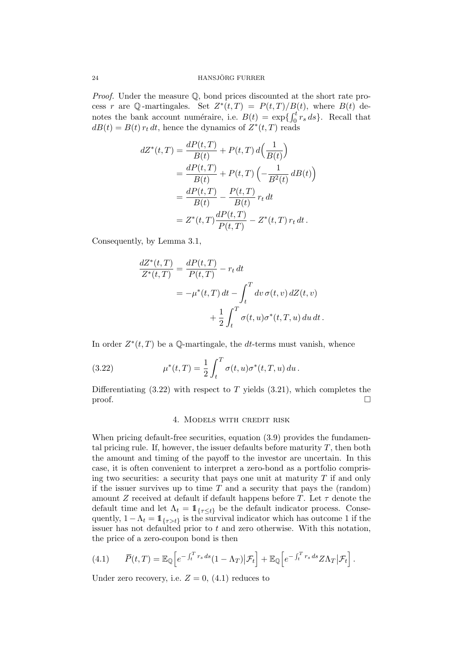Proof. Under the measure Q, bond prices discounted at the short rate process r are Q-martingales. Set  $Z^*(t,T) = P(t,T)/B(t)$ , where  $B(t)$  denotes the bank account numéraire, i.e.  $B(t) = \exp\{\int_0^t r_s ds\}$ . Recall that  $dB(t) = B(t) r_t dt$ , hence the dynamics of  $Z^*(t,T)$  reads

$$
dZ^*(t,T) = \frac{dP(t,T)}{B(t)} + P(t,T) d\left(\frac{1}{B(t)}\right)
$$
  
= 
$$
\frac{dP(t,T)}{B(t)} + P(t,T) \left(-\frac{1}{B^2(t)}dB(t)\right)
$$
  
= 
$$
\frac{dP(t,T)}{B(t)} - \frac{P(t,T)}{B(t)}r_t dt
$$
  
= 
$$
Z^*(t,T) \frac{dP(t,T)}{P(t,T)} - Z^*(t,T) r_t dt.
$$

Consequently, by Lemma 3.1,

$$
\frac{dZ^*(t,T)}{Z^*(t,T)} = \frac{dP(t,T)}{P(t,T)} - r_t dt
$$
  
=  $-\mu^*(t,T) dt - \int_t^T dv \,\sigma(t,v) dZ(t,v)$   
+  $\frac{1}{2} \int_t^T \sigma(t,u) \sigma^*(t,T,u) du dt$ .

In order  $Z^*(t,T)$  be a Q-martingale, the dt-terms must vanish, whence

(3.22) 
$$
\mu^*(t,T) = \frac{1}{2} \int_t^T \sigma(t,u) \sigma^*(t,T,u) \, du \, .
$$

Differentiating  $(3.22)$  with respect to T yields  $(3.21)$ , which completes the  $\Box$ 

#### 4. Models with credit risk

When pricing default-free securities, equation  $(3.9)$  provides the fundamental pricing rule. If, however, the issuer defaults before maturity  $T$ , then both the amount and timing of the payoff to the investor are uncertain. In this case, it is often convenient to interpret a zero-bond as a portfolio comprising two securities: a security that pays one unit at maturity  $T$  if and only if the issuer survives up to time  $T$  and a security that pays the (random) amount Z received at default if default happens before T. Let  $\tau$  denote the default time and let  $\Lambda_t = \mathbb{1}_{\{\tau \leq t\}}$  be the default indicator process. Consequently,  $1 - \Lambda_t = 1$ <sub>{ $\tau > t$ }</sub> is the survival indicator which has outcome 1 if the issuer has not defaulted prior to  $t$  and zero otherwise. With this notation, the price of a zero-coupon bond is then

(4.1) 
$$
\overline{P}(t,T) = \mathbb{E}_{\mathbb{Q}}\left[e^{-\int_t^T r_s ds}(1-\Lambda_T)|\mathcal{F}_t\right] + \mathbb{E}_{\mathbb{Q}}\left[e^{-\int_t^T r_s ds}Z\Lambda_T|\mathcal{F}_t\right].
$$

Under zero recovery, i.e.  $Z = 0$ , (4.1) reduces to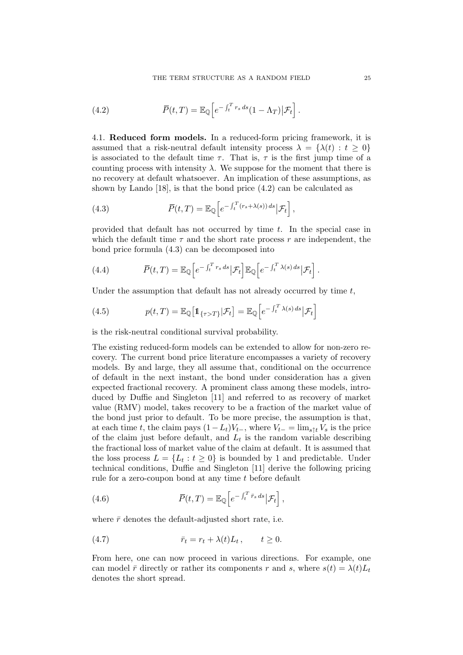(4.2) 
$$
\overline{P}(t,T) = \mathbb{E}_{\mathbb{Q}}\left[e^{-\int_t^T r_s ds}(1-\Lambda_T)|\mathcal{F}_t\right].
$$

4.1. Reduced form models. In a reduced-form pricing framework, it is assumed that a risk-neutral default intensity process  $\lambda = {\lambda(t) : t \geq 0}$ is associated to the default time  $\tau$ . That is,  $\tau$  is the first jump time of a counting process with intensity  $\lambda$ . We suppose for the moment that there is no recovery at default whatsoever. An implication of these assumptions, as shown by Lando [18], is that the bond price (4.2) can be calculated as

(4.3) 
$$
\overline{P}(t,T) = \mathbb{E}_{\mathbb{Q}} \left[ e^{-\int_t^T (r_s + \lambda(s)) ds} \big| \mathcal{F}_t \right],
$$

provided that default has not occurred by time t. In the special case in which the default time  $\tau$  and the short rate process r are independent, the bond price formula (4.3) can be decomposed into

(4.4) 
$$
\overline{P}(t,T) = \mathbb{E}_{\mathbb{Q}}\Big[e^{-\int_t^T r_s ds}|\mathcal{F}_t\Big]\mathbb{E}_{\mathbb{Q}}\Big[e^{-\int_t^T \lambda(s) ds}|\mathcal{F}_t\Big].
$$

Under the assumption that default has not already occurred by time  $t$ ,

(4.5) 
$$
p(t,T) = \mathbb{E}_{\mathbb{Q}}\big[\mathbb{1}_{\{\tau>T\}}|\mathcal{F}_t\big] = \mathbb{E}_{\mathbb{Q}}\big[e^{-\int_t^T \lambda(s) \, ds}|\mathcal{F}_t\big]
$$

is the risk-neutral conditional survival probability.

The existing reduced-form models can be extended to allow for non-zero recovery. The current bond price literature encompasses a variety of recovery models. By and large, they all assume that, conditional on the occurrence of default in the next instant, the bond under consideration has a given expected fractional recovery. A prominent class among these models, introduced by Duffie and Singleton [11] and referred to as recovery of market value (RMV) model, takes recovery to be a fraction of the market value of the bond just prior to default. To be more precise, the assumption is that, at each time t, the claim pays  $(1-L_t)V_{t-}$ , where  $V_{t-} = \lim_{s \uparrow t} V_s$  is the price of the claim just before default, and  $L_t$  is the random variable describing the fractional loss of market value of the claim at default. It is assumed that the loss process  $L = \{L_t : t \geq 0\}$  is bounded by 1 and predictable. Under technical conditions, Duffie and Singleton [11] derive the following pricing rule for a zero-coupon bond at any time t before default

(4.6) 
$$
\overline{P}(t,T) = \mathbb{E}_{\mathbb{Q}}\left[e^{-\int_t^T \overline{r}_s ds}|\mathcal{F}_t\right],
$$

where  $\bar{r}$  denotes the default-adjusted short rate, i.e.

(4.7) 
$$
\bar{r}_t = r_t + \lambda(t)L_t, \qquad t \ge 0.
$$

From here, one can now proceed in various directions. For example, one can model  $\bar{r}$  directly or rather its components r and s, where  $s(t) = \lambda(t)L_t$ denotes the short spread.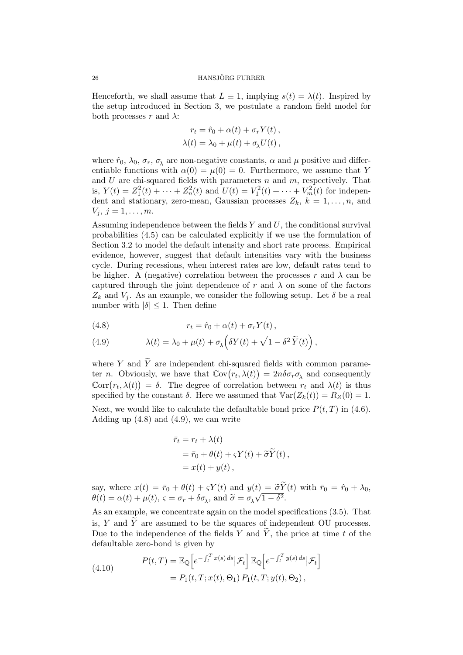Henceforth, we shall assume that  $L \equiv 1$ , implying  $s(t) = \lambda(t)$ . Inspired by the setup introduced in Section 3, we postulate a random field model for both processes r and  $\lambda$ :

$$
r_t = \hat{r}_0 + \alpha(t) + \sigma_r Y(t),
$$
  

$$
\lambda(t) = \lambda_0 + \mu(t) + \sigma_\lambda U(t),
$$

where  $\hat{r}_0$ ,  $\lambda_0$ ,  $\sigma_r$ ,  $\sigma_\lambda$  are non-negative constants,  $\alpha$  and  $\mu$  positive and differentiable functions with  $\alpha(0) = \mu(0) = 0$ . Furthermore, we assume that Y and U are chi-squared fields with parameters  $n$  and  $m$ , respectively. That is,  $Y(t) = Z_1^2(t) + \cdots + Z_n^2(t)$  and  $U(t) = V_1^2(t) + \cdots + V_m^2(t)$  for independent and stationary, zero-mean, Gaussian processes  $Z_k$ ,  $k = 1, \ldots, n$ , and  $V_i, j = 1, \ldots, m.$ 

Assuming independence between the fields  $Y$  and  $U$ , the conditional survival probabilities (4.5) can be calculated explicitly if we use the formulation of Section 3.2 to model the default intensity and short rate process. Empirical evidence, however, suggest that default intensities vary with the business cycle. During recessions, when interest rates are low, default rates tend to be higher. A (negative) correlation between the processes r and  $\lambda$  can be captured through the joint dependence of r and  $\lambda$  on some of the factors  $Z_k$  and  $V_j$ . As an example, we consider the following setup. Let  $\delta$  be a real number with  $|\delta| \leq 1$ . Then define

(4.8) 
$$
r_t = \hat{r}_0 + \alpha(t) + \sigma_r Y(t),
$$

(4.9) 
$$
\lambda(t) = \lambda_0 + \mu(t) + \sigma_\lambda \left( \delta Y(t) + \sqrt{1 - \delta^2} \, \widetilde{Y}(t) \right),
$$

where Y and  $\widetilde{Y}$  are independent chi-squared fields with common parameter *n*. Obviously, we have that  $Cov(r_t, \lambda(t)) = 2n\delta\sigma_r\sigma_\lambda$  and consequently  $Corr(r_t, \lambda(t)) = \delta$ . The degree of correlation between  $r_t$  and  $\lambda(t)$  is thus specified by the constant  $\delta$ . Here we assumed that  $\mathbb{V}\text{ar}(Z_k(t)) = R_Z(0) = 1$ .

Next, we would like to calculate the defaultable bond price  $\overline{P}(t, T)$  in (4.6). Adding up  $(4.8)$  and  $(4.9)$ , we can write

$$
\begin{aligned} \bar{r}_t &= r_t + \lambda(t) \\ &= \bar{r}_0 + \theta(t) + \varsigma Y(t) + \widetilde{\sigma} \widetilde{Y}(t) \,, \\ &= x(t) + y(t) \,, \end{aligned}
$$

say, where  $x(t) = \bar{r}_0 + \theta(t) + \varsigma Y(t)$  and  $y(t) = \tilde{\sigma} Y(t)$  with  $\bar{r}_0 = \hat{r}_0 + \lambda_0$ ,  $\theta(t) = \alpha(t) + \mu(t), \, \varsigma = \sigma_r + \delta \sigma_\lambda, \, \text{and } \tilde{\sigma} = \sigma_\lambda$  $\binom{t}{k}$  $\overline{1-\delta^2}.$ 

As an example, we concentrate again on the model specifications (3.5). That is, Y and  $\widetilde{Y}$  are assumed to be the squares of independent OU processes. Due to the independence of the fields Y and  $\widetilde{Y}$ , the price at time t of the defaultable zero-bond is given by

(4.10) 
$$
\overline{P}(t,T) = \mathbb{E}_{\mathbb{Q}}\left[e^{-\int_t^T x(s) ds} | \mathcal{F}_t\right] \mathbb{E}_{\mathbb{Q}}\left[e^{-\int_t^T y(s) ds} | \mathcal{F}_t\right]
$$

$$
= P_1(t,T;x(t),\Theta_1) P_1(t,T;y(t),\Theta_2),
$$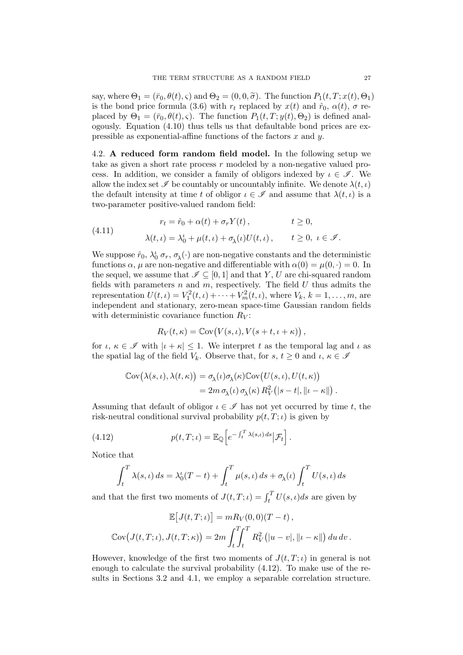say, where  $\Theta_1 = (\bar{r}_0, \theta(t), \varsigma)$  and  $\Theta_2 = (0, 0, \tilde{\sigma})$ . The function  $P_1(t, T; x(t), \Theta_1)$ is the bond price formula (3.6) with  $r_t$  replaced by  $x(t)$  and  $\hat{r}_0$ ,  $\alpha(t)$ ,  $\sigma$  replaced by  $\Theta_1 = (\bar{r}_0, \theta(t), \varsigma)$ . The function  $P_1(t, T; y(t), \Theta_2)$  is defined analogously. Equation  $(4.10)$  thus tells us that defaultable bond prices are expressible as exponential-affine functions of the factors  $x$  and  $y$ .

4.2. A reduced form random field model. In the following setup we take as given a short rate process  $r$  modeled by a non-negative valued process. In addition, we consider a family of obligors indexed by  $\iota \in \mathscr{I}$ . We allow the index set  $\mathscr I$  be countably or uncountably infinite. We denote  $\lambda(t, \iota)$ the default intensity at time t of obligor  $\iota \in \mathscr{I}$  and assume that  $\lambda(t, \iota)$  is a two-parameter positive-valued random field:

(4.11) 
$$
r_t = \hat{r}_0 + \alpha(t) + \sigma_r Y(t), \qquad t \ge 0,
$$

$$
\lambda(t, \iota) = \lambda_0^t + \mu(t, \iota) + \sigma_\lambda(\iota) U(t, \iota), \qquad t \ge 0, \ \iota \in \mathcal{I}.
$$

We suppose  $\hat{r}_0$ ,  $\lambda_0^i$   $\sigma_r$ ,  $\sigma_\lambda(\cdot)$  are non-negative constants and the deterministic functions  $\alpha$ ,  $\mu$  are non-negative and differentiable with  $\alpha(0) = \mu(0, \cdot) = 0$ . In the sequel, we assume that  $\mathscr{I} \subseteq [0,1]$  and that Y, U are chi-squared random fields with parameters n and  $m$ , respectively. The field  $U$  thus admits the representation  $U(t, \iota) = V_1^2(t, \iota) + \cdots + V_m^2(t, \iota)$ , where  $V_k$ ,  $k = 1, \ldots, m$ , are independent and stationary, zero-mean space-time Gaussian random fields with deterministic covariance function  $R_V$ :

$$
R_V(t,\kappa) = \mathbb{C}\text{ov}(V(s,\iota), V(s+t,\iota+\kappa)),
$$

for  $\iota, \kappa \in \mathscr{I}$  with  $|\iota + \kappa| \leq 1$ . We interpret t as the temporal lag and  $\iota$  as the spatial lag of the field  $V_k$ . Observe that, for  $s, t \geq 0$  and  $\iota, \kappa \in \mathscr{I}$ 

$$
\begin{aligned} \mathbb{C}\text{ov}(\lambda(s,\iota),\lambda(t,\kappa)) &= \sigma_{\lambda}(\iota)\sigma_{\lambda}(\kappa)\mathbb{C}\text{ov}\big(U(s,\iota),U(t,\kappa)\big) \\ &= 2m\,\sigma_{\lambda}(\iota)\,\sigma_{\lambda}(\kappa)\,R_V^2\big(|s-t|,\| \iota - \kappa\|\big) \,. \end{aligned}
$$

Assuming that default of obligor  $\iota \in \mathscr{I}$  has not yet occurred by time t, the risk-neutral conditional survival probability  $p(t, T; \iota)$  is given by

(4.12) 
$$
p(t,T;\iota) = \mathbb{E}_{\mathbb{Q}}\left[e^{-\int_t^T \lambda(s,\iota) ds}|\mathcal{F}_t\right].
$$

Notice that

$$
\int_t^T \lambda(s,\iota) ds = \lambda_0^{\iota}(T-t) + \int_t^T \mu(s,\iota) ds + \sigma_{\lambda}(\iota) \int_t^T U(s,\iota) ds
$$

and that the first two moments of  $J(t, T; \iota) = \int_t^T U(s, \iota) ds$  are given by

$$
\mathbb{E}\big[J(t,T;\iota)\big] = mR_V(0,0)(T-t),
$$
  

$$
\mathbb{C}\text{ov}\big(J(t,T;\iota),J(t,T;\kappa)\big) = 2m\int_t^T \int_t^T R_V^2\big(|u-v|,\|t-\kappa\|\big)\,du\,dv.
$$

However, knowledge of the first two moments of  $J(t, T; \iota)$  in general is not enough to calculate the survival probability (4.12). To make use of the results in Sections 3.2 and 4.1, we employ a separable correlation structure.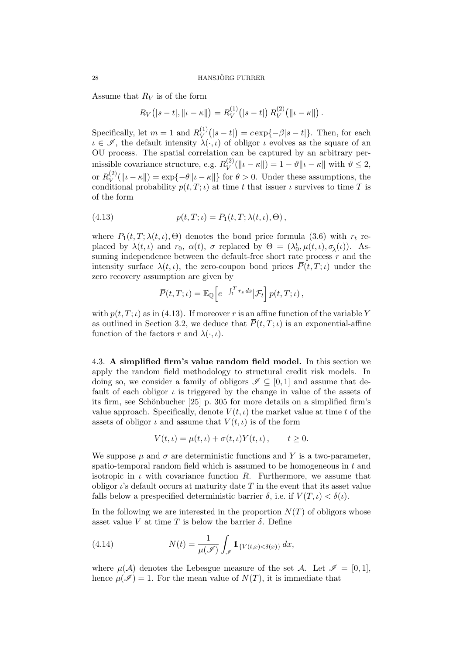Assume that  $R_V$  is of the form

$$
R_V(|s-t|, \|t-\kappa\|) = R_V^{(1)}(|s-t|) R_V^{(2)}(|t-\kappa\|).
$$

Specifically, let  $m = 1$  and  $R_V^{(1)}$  $V(V^{(1)}(|s-t|) = c \exp{-\beta|s-t|}.$  Then, for each  $i \in \mathscr{I}$ , the default intensity  $\lambda(\cdot, \iota)$  of obligor  $\iota$  evolves as the square of an OU process. The spatial correlation can be captured by an arbitrary permissible covariance structure, e.g.  $R_V^{(2)}$  $V^{(2)}(\|\iota - \kappa\|) = 1 - \vartheta \|\iota - \kappa\|$  with  $\vartheta \leq 2$ , or  $R_V^{(2)}$  $V(V)(\Vert \iota - \kappa \Vert) = \exp\{-\theta \Vert \iota - \kappa \Vert\}$  for  $\theta > 0$ . Under these assumptions, the conditional probability  $p(t, T; \iota)$  at time t that issuer  $\iota$  survives to time T is of the form

(4.13) 
$$
p(t, T; \iota) = P_1(t, T; \lambda(t, \iota), \Theta),
$$

where  $P_1(t, T; \lambda(t, \iota), \Theta)$  denotes the bond price formula (3.6) with  $r_t$  replaced by  $\lambda(t,\iota)$  and  $r_0$ ,  $\alpha(t)$ ,  $\sigma$  replaced by  $\Theta = (\lambda_0^{\iota}, \mu(t,\iota), \sigma_{\lambda}(\iota))$ . Assuming independence between the default-free short rate process  $r$  and the intensity surface  $\lambda(t, \iota)$ , the zero-coupon bond prices  $\overline{P}(t, T; \iota)$  under the zero recovery assumption are given by

$$
\overline{P}(t,T;\iota)=\mathbb{E}_{\mathbb{Q}}\Big[e^{-\int_t^Tr_sds}\big|\mathcal{F}_t\Big]\,p(t,T;\iota)\,,
$$

with  $p(t, T; \iota)$  as in (4.13). If moreover r is an affine function of the variable Y as outlined in Section 3.2, we deduce that  $\overline{P}(t, T; \iota)$  is an exponential-affine function of the factors r and  $\lambda(\cdot, \iota)$ .

4.3. A simplified firm's value random field model. In this section we apply the random field methodology to structural credit risk models. In doing so, we consider a family of obligors  $\mathscr{I} \subseteq [0, 1]$  and assume that default of each obligor  $\iota$  is triggered by the change in value of the assets of its firm, see Schönbucher [25] p. 305 for more details on a simplified firm's value approach. Specifically, denote  $V(t, \iota)$  the market value at time t of the assets of obligor  $\iota$  and assume that  $V(t, \iota)$  is of the form

$$
V(t,\iota) = \mu(t,\iota) + \sigma(t,\iota)Y(t,\iota), \qquad t \ge 0.
$$

We suppose  $\mu$  and  $\sigma$  are deterministic functions and Y is a two-parameter. spatio-temporal random field which is assumed to be homogeneous in  $t$  and isotropic in  $\iota$  with covariance function R. Furthermore, we assume that obligor  $\iota$ 's default occurs at maturity date T in the event that its asset value falls below a prespecified deterministic barrier  $\delta$ , i.e. if  $V(T, \iota) < \delta(\iota)$ .

In the following we are interested in the proportion  $N(T)$  of obligors whose asset value V at time T is below the barrier  $\delta$ . Define

(4.14) 
$$
N(t) = \frac{1}{\mu(\mathscr{I})} \int_{\mathscr{I}} 1_{\{V(t,x) < \delta(x)\}} dx,
$$

where  $\mu(A)$  denotes the Lebesgue measure of the set A. Let  $\mathscr{I} = [0,1],$ hence  $\mu(\mathscr{I}) = 1$ . For the mean value of  $N(T)$ , it is immediate that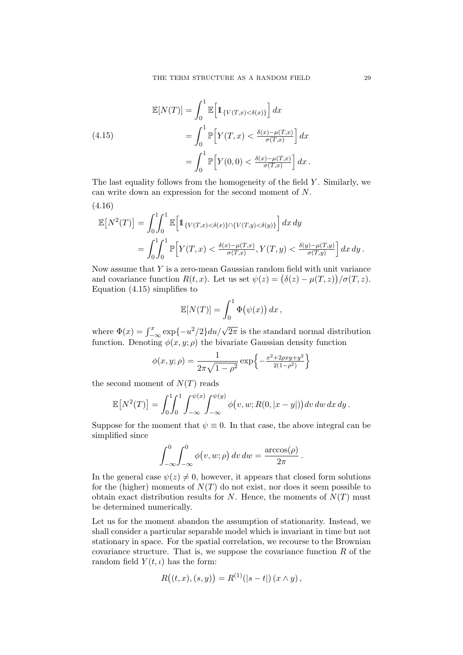(4.15)  
\n
$$
\mathbb{E}[N(T)] = \int_0^1 \mathbb{E}\left[\mathbb{1}_{\{V(T,x) < \delta(x)\}}\right] dx
$$
\n
$$
= \int_0^1 \mathbb{P}\left[Y(T,x) < \frac{\delta(x) - \mu(T,x)}{\sigma(T,x)}\right] dx
$$
\n
$$
= \int_0^1 \mathbb{P}\left[Y(0,0) < \frac{\delta(x) - \mu(T,x)}{\sigma(T,x)}\right] dx.
$$

The last equality follows from the homogeneity of the field  $Y$ . Similarly, we can write down an expression for the second moment of N. (4.16)

$$
\mathbb{E}\left[N^2(T)\right] = \int_0^1 \int_0^1 \mathbb{E}\left[\mathbb{1}_{\{V(T,x) < \delta(x)\} \cap \{V(T,y) < \delta(y)\}}\right] dx dy
$$
\n
$$
= \int_0^1 \int_0^1 \mathbb{P}\left[Y(T,x) < \frac{\delta(x) - \mu(T,x)}{\sigma(T,x)}, Y(T,y) < \frac{\delta(y) - \mu(T,y)}{\sigma(T,y)}\right] dx dy.
$$

Now assume that  $Y$  is a zero-mean Gaussian random field with unit variance and covariance function  $R(t, x)$ . Let us set  $\psi(z) = (\delta(z) - \mu(T, z))/\sigma(T, z)$ . Equation  $(4.15)$  simplifies to

$$
\mathbb{E}[N(T)] = \int_0^1 \Phi(\psi(x)) dx,
$$

where  $\Phi(x) = \int_{-\infty}^{x} \exp\{-u^2/2\} du / \sqrt{2\pi}$  is the standard normal distribution function. Denoting  $\phi(x, y; \rho)$  the bivariate Gaussian density function

$$
\phi(x, y; \rho) = \frac{1}{2\pi\sqrt{1 - \rho^2}} \exp\left\{-\frac{x^2 + 2\rho xy + y^2}{2(1 - \rho^2)}\right\}
$$

the second moment of  $N(T)$  reads

$$
\mathbb{E}[N^2(T)] = \int_0^1 \int_0^1 \int_{-\infty}^{\psi(x)} \int_{-\infty}^{\psi(y)} \phi(v, w; R(0, |x - y|)) dv dw dx dy.
$$

Suppose for the moment that  $\psi \equiv 0$ . In that case, the above integral can be simplified since

$$
\int_{-\infty}^{0} \int_{-\infty}^{0} \phi(v, w; \rho) dv dw = \frac{\arccos(\rho)}{2\pi}.
$$

In the general case  $\psi(z) \neq 0$ , however, it appears that closed form solutions for the (higher) moments of  $N(T)$  do not exist, nor does it seem possible to obtain exact distribution results for N. Hence, the moments of  $N(T)$  must be determined numerically.

Let us for the moment abandon the assumption of stationarity. Instead, we shall consider a particular separable model which is invariant in time but not stationary in space. For the spatial correlation, we recourse to the Brownian covariance structure. That is, we suppose the covariance function  $R$  of the random field  $Y(t, \iota)$  has the form:

$$
R((t, x), (s, y)) = R^{(1)}(|s - t|) (x \wedge y),
$$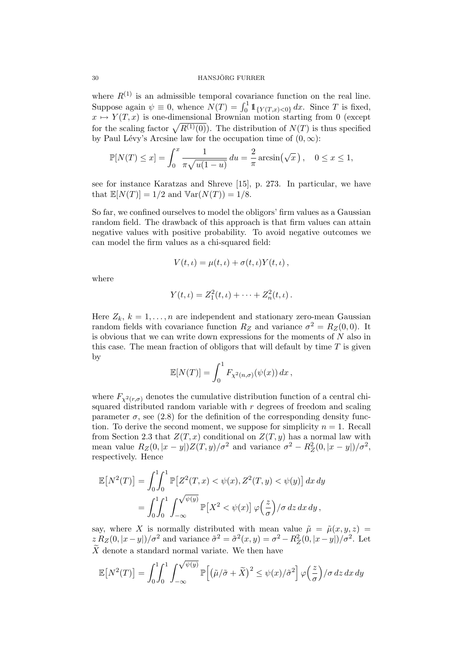#### 30 HANSJÖRG FURRER

where  $R^{(1)}$  is an admissible temporal covariance function on the real line. Suppose again  $\psi \equiv 0$ , whence  $N(T) = \int_0^1 1\!\!1_{\{Y(T,x) < 0\}} dx$ . Since T is fixed,  $x \mapsto Y(T, x)$  is one-dimensional Brownian motion starting from 0 (except for the scaling factor  $\sqrt{R^{(1)}(0)}$ . The distribution of  $N(T)$  is thus specified by Paul Lévy's Arcsine law for the occupation time of  $(0, \infty)$ :

$$
\mathbb{P}[N(T) \le x] = \int_0^x \frac{1}{\pi \sqrt{u(1-u)}} du = \frac{2}{\pi} \arcsin(\sqrt{x}), \quad 0 \le x \le 1,
$$

see for instance Karatzas and Shreve [15], p. 273. In particular, we have that  $\mathbb{E}[N(T)] = 1/2$  and  $\mathbb{V}\text{ar}(N(T)) = 1/8$ .

So far, we confined ourselves to model the obligors' firm values as a Gaussian random field. The drawback of this approach is that firm values can attain negative values with positive probability. To avoid negative outcomes we can model the firm values as a chi-squared field:

$$
V(t, \iota) = \mu(t, \iota) + \sigma(t, \iota) Y(t, \iota) ,
$$

where

$$
Y(t,\iota) = Z_1^2(t,\iota) + \cdots + Z_n^2(t,\iota).
$$

Here  $Z_k$ ,  $k = 1, ..., n$  are independent and stationary zero-mean Gaussian random fields with covariance function  $R_Z$  and variance  $\sigma^2 = R_Z(0,0)$ . It is obvious that we can write down expressions for the moments of  $N$  also in this case. The mean fraction of obligors that will default by time  $T$  is given by

$$
\mathbb{E}[N(T)] = \int_0^1 F_{\chi^2(n,\sigma)}(\psi(x)) dx,
$$

where  $F_{\chi^2(r,\sigma)}$  denotes the cumulative distribution function of a central chisquared distributed random variable with  $r$  degrees of freedom and scaling parameter  $\sigma$ , see (2.8) for the definition of the corresponding density function. To derive the second moment, we suppose for simplicity  $n = 1$ . Recall from Section 2.3 that  $Z(T, x)$  conditional on  $Z(T, y)$  has a normal law with mean value  $R_Z(0, |x-y|)Z(T,y)/\sigma^2$  and variance  $\sigma^2 - R_Z^2(0, |x-y|)/\sigma^2$ , respectively. Hence

$$
\mathbb{E}\left[N^2(T)\right] = \int_0^1 \int_0^1 \mathbb{P}\left[Z^2(T, x) < \psi(x), Z^2(T, y) < \psi(y)\right] dx dy
$$
\n
$$
= \int_0^1 \int_0^1 \int_{-\infty}^{\sqrt{\psi(y)}} \mathbb{P}\left[X^2 < \psi(x)\right] \varphi\left(\frac{z}{\sigma}\right) / \sigma \, dz \, dx \, dy \,,
$$

say, where X is normally distributed with mean value  $\tilde{\mu} = \tilde{\mu}(x, y, z) =$  $z R_Z(0, |x-y|)/\sigma^2$  and variance  $\tilde{\sigma}^2 = \tilde{\sigma}^2(x, y) = \sigma^2 - R_Z^2(0, |x-y|)/\sigma^2$ . Let  $\tilde{X}$  denote a standard normal variate. We then have

$$
\mathbb{E}\left[N^2(T)\right] = \int_0^1 \int_0^1 \int_{-\infty}^{\sqrt{\psi(y)}} \mathbb{P}\left[\left(\tilde{\mu}/\tilde{\sigma} + \tilde{X}\right)^2 \le \psi(x)/\tilde{\sigma}^2\right] \varphi\left(\frac{z}{\sigma}\right) / \sigma \, dz \, dx \, dy
$$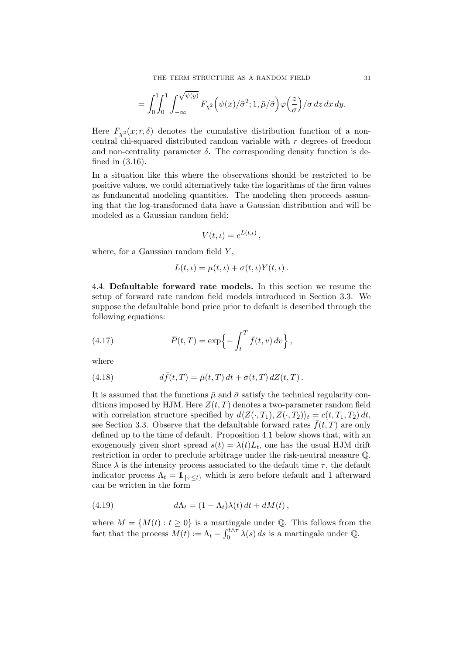$$
= \int_0^1 \int_0^1 \int_{-\infty}^{\sqrt{\psi(y)}} F_{\chi^2}(\psi(x)/\tilde{\sigma}^2; 1, \tilde{\mu}/\tilde{\sigma}) \varphi\left(\frac{z}{\sigma}\right) / \sigma \, dz \, dx \, dy.
$$

Here  $F_{\gamma^2}(x; r, \delta)$  denotes the cumulative distribution function of a noncentral chi-squared distributed random variable with r degrees of freedom and non-centrality parameter  $\delta$ . The corresponding density function is defined in (3.16).

In a situation like this where the observations should be restricted to be positive values, we could alternatively take the logarithms of the firm values as fundamental modeling quantities. The modeling then proceeds assuming that the log-transformed data have a Gaussian distribution and will be modeled as a Gaussian random field:

$$
V(t,\iota) = e^{L(t,\iota)},
$$

where, for a Gaussian random field  $Y$ ,

$$
L(t,\iota) = \mu(t,\iota) + \sigma(t,\iota)Y(t,\iota).
$$

4.4. Defaultable forward rate models. In this section we resume the setup of forward rate random field models introduced in Section 3.3. We suppose the defaultable bond price prior to default is described through the following equations:

(4.17) 
$$
\overline{P}(t,T) = \exp\left\{-\int_t^T \overline{f}(t,v) dv\right\},\,
$$

where

(4.18) 
$$
d\bar{f}(t,T) = \bar{\mu}(t,T) dt + \bar{\sigma}(t,T) dZ(t,T).
$$

It is assumed that the functions  $\bar{\mu}$  and  $\bar{\sigma}$  satisfy the technical regularity conditions imposed by HJM. Here  $Z(t, T)$  denotes a two-parameter random field with correlation structure specified by  $d\langle Z(\cdot, T_1), Z(\cdot, T_2)\rangle_t = c(t, T_1, T_2) dt$ , see Section 3.3. Observe that the defaultable forward rates  $\bar{f}(t,T)$  are only defined up to the time of default. Proposition 4.1 below shows that, with an exogenously given short spread  $s(t) = \lambda(t)L_t$ , one has the usual HJM drift restriction in order to preclude arbitrage under the risk-neutral measure Q. Since  $\lambda$  is the intensity process associated to the default time  $\tau$ , the default indicator process  $\Lambda_t = \mathbb{1}_{\{\tau \leq t\}}$  which is zero before default and 1 afterward can be written in the form

(4.19) 
$$
d\Lambda_t = (1 - \Lambda_t)\lambda(t) dt + dM(t),
$$

where  $M = \{M(t) : t \geq 0\}$  is a martingale under Q. This follows from the fact that the process  $M(t) := \Lambda_t - \int_0^{t \wedge \tau} \lambda(s) ds$  is a martingale under Q.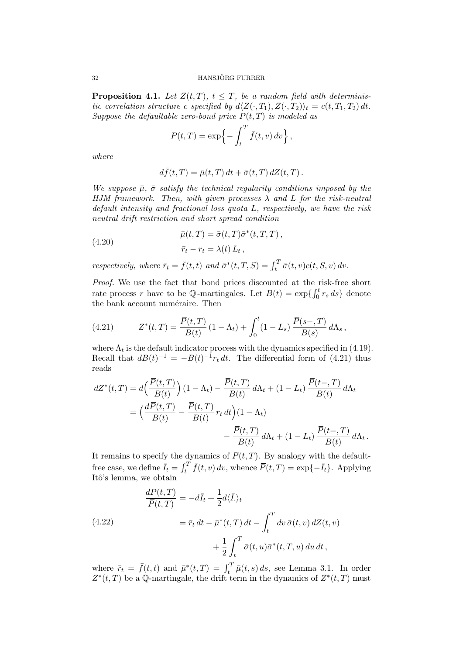**Proposition 4.1.** Let  $Z(t,T)$ ,  $t \leq T$ , be a random field with deterministic correlation structure c specified by  $d\langle Z(\cdot, T_1), Z(\cdot, T_2)\rangle_t = c(t, T_1, T_2) dt$ . Suppose the defaultable zero-bond price  $\overline{P}(t,T)$  is modeled as

$$
\overline{P}(t,T) = \exp\left\{-\int_t^T \overline{f}(t,v) dv\right\},\,
$$

where

$$
d\bar{f}(t,T) = \bar{\mu}(t,T) dt + \bar{\sigma}(t,T) dZ(t,T).
$$

We suppose  $\bar{\mu}$ ,  $\bar{\sigma}$  satisfy the technical regularity conditions imposed by the HJM framework. Then, with given processes  $\lambda$  and L for the risk-neutral default intensity and fractional loss quota L, respectively, we have the risk neutral drift restriction and short spread condition

(4.20) 
$$
\bar{\mu}(t,T) = \bar{\sigma}(t,T)\bar{\sigma}^*(t,T,T),
$$

$$
\bar{r}_t - r_t = \lambda(t) L_t,
$$

respectively, where  $\bar{r}_t = \bar{f}(t, t)$  and  $\bar{\sigma}^*(t, T, S) = \int_t^T \bar{\sigma}(t, v) c(t, S, v) dv$ .

Proof. We use the fact that bond prices discounted at the risk-free short rate process r have to be  $\mathbb{Q}$ -martingales. Let  $B(t) = \exp\left\{\int_0^t r_s ds\right\}$  denote the bank account numéraire. Then

(4.21) 
$$
Z^*(t,T) = \frac{\overline{P}(t,T)}{B(t)} (1-\Lambda_t) + \int_0^t (1-L_s) \frac{\overline{P}(s-,T)}{B(s)} d\Lambda_s,
$$

where  $\Lambda_t$  is the default indicator process with the dynamics specified in (4.19). Recall that  $dB(t)^{-1} = -B(t)^{-1}r_t dt$ . The differential form of (4.21) thus reads

$$
dZ^*(t,T) = d\left(\frac{\overline{P}(t,T)}{B(t)}\right)(1-\Lambda_t) - \frac{\overline{P}(t,T)}{B(t)} d\Lambda_t + (1-L_t) \frac{\overline{P}(t-,T)}{B(t)} d\Lambda_t
$$
  
= 
$$
\left(\frac{d\overline{P}(t,T)}{B(t)} - \frac{\overline{P}(t,T)}{B(t)} r_t dt\right)(1-\Lambda_t)
$$

$$
- \frac{\overline{P}(t,T)}{B(t)} d\Lambda_t + (1-L_t) \frac{\overline{P}(t-,T)}{B(t)} d\Lambda_t.
$$

It remains to specify the dynamics of  $\overline{P}(t,T)$ . By analogy with the defaultfree case, we define  $\bar{I}_t = \int_t^T \bar{f}(t, v) dv$ , whence  $\bar{P}(t, T) = \exp\{-\bar{I}_t\}$ . Applying Itô's lemma, we obtain

(4.22) 
$$
\frac{dP(t,T)}{\overline{P}(t,T)} = -d\overline{I}_t + \frac{1}{2}d\langle \overline{I}_t\rangle_t
$$

$$
= \overline{r}_t dt - \overline{\mu}^*(t,T) dt - \int_t^T dv \,\overline{\sigma}(t,v) dZ(t,v)
$$

$$
+ \frac{1}{2} \int_t^T \overline{\sigma}(t,u) \overline{\sigma}^*(t,T,u) du dt,
$$

where  $\bar{r}_t = \bar{f}(t, t)$  and  $\bar{\mu}^*(t, T) = \int_t^T \bar{\mu}(t, s) ds$ , see Lemma 3.1. In order  $Z^*(t,T)$  be a Q-martingale, the drift term in the dynamics of  $Z^*(t,T)$  must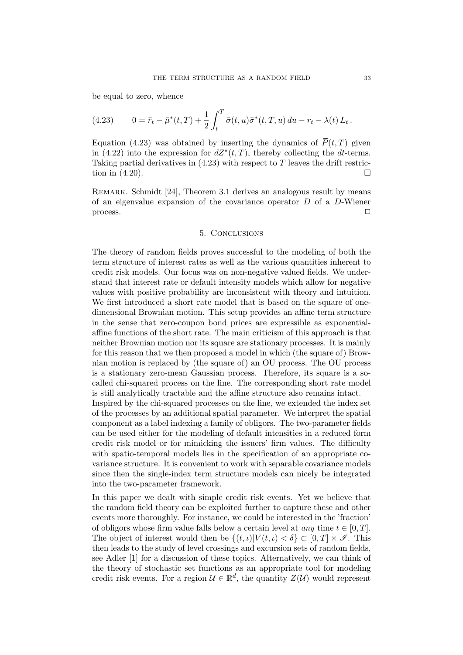be equal to zero, whence

(4.23) 
$$
0 = \bar{r}_t - \bar{\mu}^*(t,T) + \frac{1}{2} \int_t^T \bar{\sigma}(t,u) \bar{\sigma}^*(t,T,u) du - r_t - \lambda(t) L_t.
$$

Equation (4.23) was obtained by inserting the dynamics of  $\bar{P}(t, T)$  given in (4.22) into the expression for  $dZ^*(t,T)$ , thereby collecting the dt-terms. Taking partial derivatives in  $(4.23)$  with respect to T leaves the drift restriction in  $(4.20)$ .

REMARK. Schmidt [24], Theorem 3.1 derives an analogous result by means of an eigenvalue expansion of the covariance operator  $D$  of a  $D$ -Wiener  $\Box$ 

#### 5. Conclusions

The theory of random fields proves successful to the modeling of both the term structure of interest rates as well as the various quantities inherent to credit risk models. Our focus was on non-negative valued fields. We understand that interest rate or default intensity models which allow for negative values with positive probability are inconsistent with theory and intuition. We first introduced a short rate model that is based on the square of onedimensional Brownian motion. This setup provides an affine term structure in the sense that zero-coupon bond prices are expressible as exponentialaffine functions of the short rate. The main criticism of this approach is that neither Brownian motion nor its square are stationary processes. It is mainly for this reason that we then proposed a model in which (the square of) Brownian motion is replaced by (the square of) an OU process. The OU process is a stationary zero-mean Gaussian process. Therefore, its square is a socalled chi-squared process on the line. The corresponding short rate model is still analytically tractable and the affine structure also remains intact. Inspired by the chi-squared processes on the line, we extended the index set

of the processes by an additional spatial parameter. We interpret the spatial component as a label indexing a family of obligors. The two-parameter fields can be used either for the modeling of default intensities in a reduced form credit risk model or for mimicking the issuers' firm values. The difficulty with spatio-temporal models lies in the specification of an appropriate covariance structure. It is convenient to work with separable covariance models since then the single-index term structure models can nicely be integrated into the two-parameter framework.

In this paper we dealt with simple credit risk events. Yet we believe that the random field theory can be exploited further to capture these and other events more thoroughly. For instance, we could be interested in the 'fraction' of obligors whose firm value falls below a certain level at *any* time  $t \in [0, T]$ . The object of interest would then be  $\{(t, \iota)|V(t, \iota) < \delta\} \subset [0, T] \times \mathcal{I}$ . This then leads to the study of level crossings and excursion sets of random fields, see Adler [1] for a discussion of these topics. Alternatively, we can think of the theory of stochastic set functions as an appropriate tool for modeling credit risk events. For a region  $\mathcal{U} \in \mathbb{R}^d$ , the quantity  $Z(\mathcal{U})$  would represent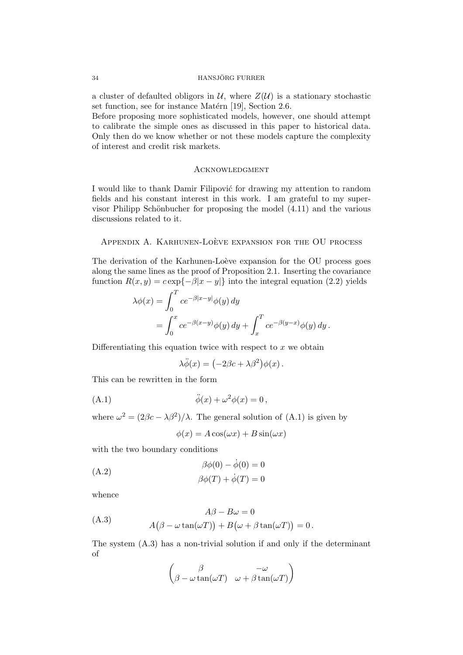a cluster of defaulted obligors in  $\mathcal{U}$ , where  $Z(\mathcal{U})$  is a stationary stochastic set function, see for instance Matérn [19], Section 2.6.

Before proposing more sophisticated models, however, one should attempt to calibrate the simple ones as discussed in this paper to historical data. Only then do we know whether or not these models capture the complexity of interest and credit risk markets.

## **ACKNOWLEDGMENT**

I would like to thank Damir Filipović for drawing my attention to random fields and his constant interest in this work. I am grateful to my supervisor Philipp Schönbucher for proposing the model  $(4.11)$  and the various discussions related to it.

### APPENDIX A. KARHUNEN-LOÈVE EXPANSION FOR THE OU PROCESS

The derivation of the Karhunen-Loève expansion for the OU process goes along the same lines as the proof of Proposition 2.1. Inserting the covariance function  $R(x, y) = c \exp\{-\beta |x - y|\}$  into the integral equation (2.2) yields

$$
\lambda \phi(x) = \int_0^T c e^{-\beta |x-y|} \phi(y) dy
$$
  
= 
$$
\int_0^x c e^{-\beta(x-y)} \phi(y) dy + \int_x^T c e^{-\beta(y-x)} \phi(y) dy.
$$

Differentiating this equation twice with respect to  $x$  we obtain

$$
\lambda \ddot{\phi}(x) = \left(-2\beta c + \lambda \beta^2\right) \phi(x) \,.
$$

This can be rewritten in the form

$$
\ddot{\phi}(x) + \omega^2 \phi(x) = 0,
$$

where  $\omega^2 = (2\beta c - \lambda \beta^2)/\lambda$ . The general solution of (A.1) is given by

$$
\phi(x) = A\cos(\omega x) + B\sin(\omega x)
$$

with the two boundary conditions

$$
\beta\phi(0) - \dot{\phi}(0) = 0
$$
  
(A.2)  

$$
\beta\phi(T) + \dot{\phi}(T) = 0
$$

whence

$$
A\beta - B\omega = 0
$$
  
(A.3)  

$$
A(\beta - \omega \tan(\omega T)) + B(\omega + \beta \tan(\omega T)) = 0.
$$

The system (A.3) has a non-trivial solution if and only if the determinant of

$$
\begin{pmatrix}\n\beta & -\omega \\
\beta - \omega \tan(\omega T) & \omega + \beta \tan(\omega T)\n\end{pmatrix}
$$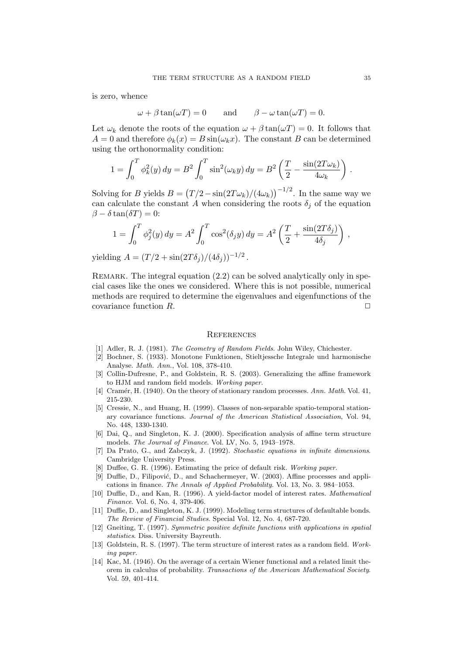is zero, whence

 $\omega + \beta \tan(\omega T) = 0$  and  $\beta - \omega \tan(\omega T) = 0$ .

Let  $\omega_k$  denote the roots of the equation  $\omega + \beta \tan(\omega T) = 0$ . It follows that  $A = 0$  and therefore  $\phi_k(x) = B \sin(\omega_k x)$ . The constant B can be determined using the orthonormality condition:

$$
1 = \int_0^T \phi_k^2(y) \, dy = B^2 \int_0^T \sin^2(\omega_k y) \, dy = B^2 \left( \frac{T}{2} - \frac{\sin(2T\omega_k)}{4\omega_k} \right) \, .
$$

Solving for B yields  $B = (T/2 - \sin(2T\omega_k)/(4\omega_k))^{-1/2}$ . In the same way we can calculate the constant A when considering the roots  $\delta_i$  of the equation  $\beta - \delta \tan(\delta T) = 0$ :

$$
1 = \int_0^T \phi_j^2(y) \, dy = A^2 \int_0^T \cos^2(\delta_j y) \, dy = A^2 \left( \frac{T}{2} + \frac{\sin(2T\delta_j)}{4\delta_j} \right) \,,
$$

yielding  $A = (T/2 + \sin(2T\delta_j)/(4\delta_j))^{-1/2}$ .

REMARK. The integral equation  $(2.2)$  can be solved analytically only in special cases like the ones we considered. Where this is not possible, numerical methods are required to determine the eigenvalues and eigenfunctions of the covariance function  $R$ .

#### **REFERENCES**

- [1] Adler, R. J. (1981). The Geometry of Random Fields. John Wiley, Chichester.
- [2] Bochner, S. (1933). Monotone Funktionen, Stieltjessche Integrale und harmonische Analyse. Math. Ann., Vol. 108, 378-410.
- [3] Collin-Dufresne, P., and Goldstein, R. S. (2003). Generalizing the affine framework to HJM and random field models. Working paper.
- [4] Cramér, H. (1940). On the theory of stationary random processes. Ann. Math. Vol. 41, 215-230.
- [5] Cressie, N., and Huang, H. (1999). Classes of non-separable spatio-temporal stationary covariance functions. Journal of the American Statistical Association, Vol. 94, No. 448, 1330-1340.
- [6] Dai, Q., and Singleton, K. J. (2000). Specification analysis of affine term structure models. The Journal of Finance. Vol. LV, No. 5, 1943–1978.
- [7] Da Prato, G., and Zabczyk, J. (1992). Stochastic equations in infinite dimensions. Cambridge University Press.
- [8] Duffee, G. R. (1996). Estimating the price of default risk. Working paper.
- [9] Duffie, D., Filipović, D., and Schachermeyer, W. (2003). Affine processes and applications in finance. The Annals of Applied Probability. Vol. 13, No. 3. 984–1053.
- [10] Duffie, D., and Kan, R. (1996). A yield-factor model of interest rates. Mathematical Finance. Vol. 6, No. 4, 379-406.
- [11] Duffie, D., and Singleton, K. J. (1999). Modeling term structures of defaultable bonds. The Review of Financial Studies. Special Vol. 12, No. 4, 687-720.
- [12] Gneiting, T. (1997). Symmetric positive definite functions with applications in spatial statistics. Diss. University Bayreuth.
- [13] Goldstein, R. S. (1997). The term structure of interest rates as a random field. Working paper.
- [14] Kac, M. (1946). On the average of a certain Wiener functional and a related limit theorem in calculus of probability. Transactions of the American Mathematical Society. Vol. 59, 401-414.